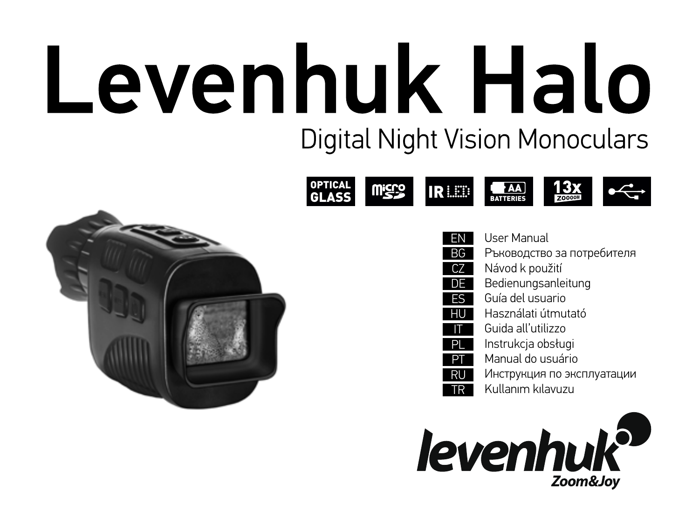# Levenhuk Halo **Digital Night Vision Monoculars**





| EN        | User Manual                |
|-----------|----------------------------|
| <b>BG</b> | Ръководство за потребителя |
| CZ        | Návod k použití            |
| DE        | Bedienungsanleitung        |
| ES        | Guía del usuario           |
| HU        | Használati útmutató        |
|           | Guida all'utilizzo         |
| PI        | Instrukcja obsługi         |
| P         | Manual do usuário          |
| RU        | Инструкция по эксплуатации |
| TR        | Kullanım kılavuzu          |
|           |                            |
|           |                            |
|           |                            |

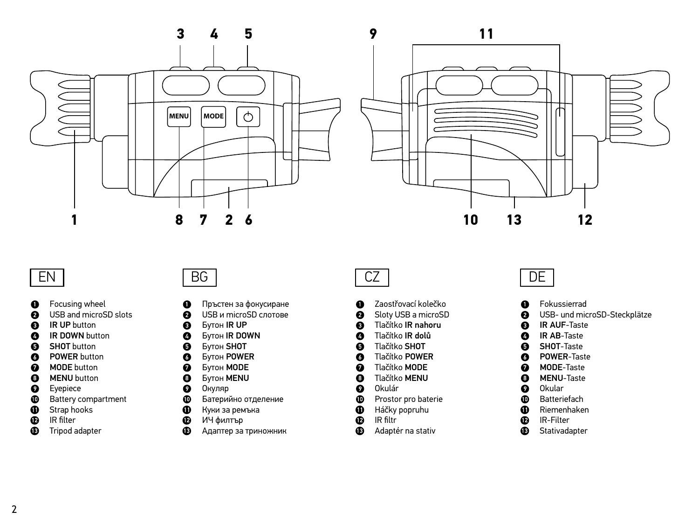



### EN

- Focusing wheel  $\bullet$
- USB and microSD slots  $\bullet$
- $\ddot{\mathbf{e}}$ IR UP button
- IR DOWN button  $\bullet$
- $\bullet$ SHOT button
- **O** POWER button
- $\bullet$ MODE button
- MENU button  $\bullet$
- $\bullet$ Eyepiece
- ó Battery compartment
- $\bf \Phi$ Strap hooks
- $\tilde{\mathbf{e}}$ IR filter
- ⊕ Tripod adapter

BG

- $\bullet$ Пръстен за фокусиране
- USB и microSD слотове ℯ
- Ō Бутон IR UP
- $\bullet$ Бутон IR DOWN
- $\bullet$ Бутон SHOT
- Бутон POWER  $\bullet$
- Бутон MODE  $\bullet$
- $\ddot{\mathbf{e}}$ Бутон MENU
- $\bullet$ Окуляр
- Ō Батерийно отделение
- $\bf{0}$ Куки за ремъка
- ó ИЧ филтър
- $\bullet$ Адаптер за триножник

### CZ

- Zaostřovací kolečko  $\bullet$
- Sloty USB a microSD Ø
- Tlačítko IR nahoru  $\bullet$
- Tlačítko IR dolů  $\bullet$
- $\bullet$ Tlačítko SHOT Tlačítko POWER
- Ø
- $\mathbf o$ Tlačítko MODE Tlačítko MENU
- $\bullet$ Okulár
- $\bullet$  $\Phi$
- Prostor pro baterie
- $\bf \Phi$ Háčky popruhu
- ē IR filtr
- Φ Adaptér na stativ

### DE

- Fokussierrad
- USB- und microSD-Steckplätze ø
- IR AUF-Taste A
- $\bullet$ IR AB-Taste
- $\bullet$ SHOT-Taste
- $\bullet$ POWER-Taste
- MODE-Taste  $\bullet$
- MENU-Taste  $\bullet$
- $\bullet$ Okular
- **Batteriefach**  $\bullet$
- $\bf{a}$ Riemenhaken
- $\bf{a}$ IR-Filter
- $\bf{D}$ Stativadapter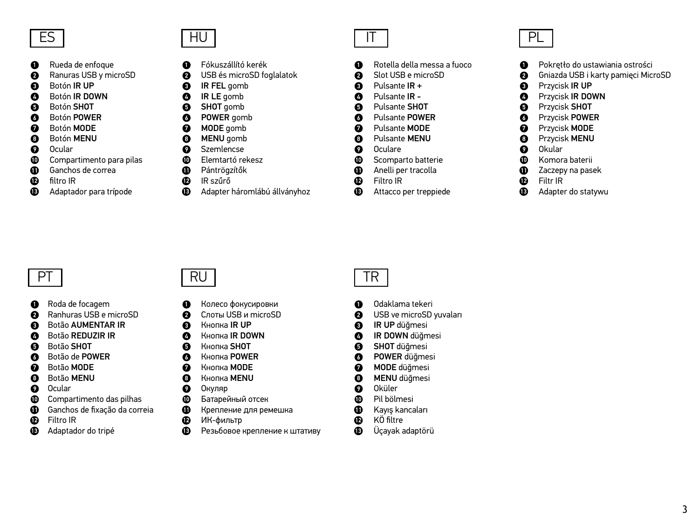- Rueda de enfoque  $\mathbf 0$
- $\boldsymbol{\Omega}$ Ranuras USB y microSD
- $\boldsymbol{\Omega}$ Botón IR UP
- Botón IR DOWN  $\bullet$
- Botón SHOT  $\Omega$ Botón POWER
- $\mathbf{\Omega}$  $\Omega$ Botón MODE
- Botón MENU
- $\bullet$ Ocular
- $\Omega$
- $\bf{0}$ Compartimento para pilas
- Ф. Ganchos de correa
- filtro IR ⊕
- ⋒ Adaptador para trípode

HU

 $\bullet$ 

 $\bullet$ 

 $\Omega$ 

- $\bullet$ Fókuszállító kerék A
	- USB és microSD foglalatok IR FEL gomb
	- IR LE gomb
	- SHOT gomb
- $\bullet$  $\bullet$ POWER gomb
	- MODE gomb
- $\bullet$ MENU gomb
- Szemlencse  $\Omega$ Elemtartó rekesz
- $\bullet$  $\bf{D}$ Pántrögzítők
- $\bar{\mathbf{e}}$ IR szűrő
- CD. Adapter háromlábú állványhoz

IT

- Rotella della messa a fuoco Ω Slot USB e microSD
- ø  $\bullet$ Pulsante IR +
- Pulsante IR Ø
- Pulsante SHOT Ô
- Pulsante POWER Ø
- $\Omega$ Pulsante MODE
- A Pulsante MENU
- Oculare Q
- Scomparto batterie Ф
- **m** Anelli per tracolla
- Filtro IR ®
- Œ. Attacco per treppiede



- Pokrętło do ustawiania ostrości ⋒
- Gniazda USB i karty pamięci MicroSD A
- $\boldsymbol{\Omega}$ Przycisk IR UP
- Przycisk IR DOWN Ø
- $\mathbf{\Omega}$ Przycisk SHOT
- Przycisk POWER Ø
- $\boldsymbol{\Omega}$ Przycisk MODE
- $\boldsymbol{\Omega}$ Przycisk MENU
- Okular  $\Omega$
- Komora baterii  $\bf{D}$
- Zaczepy na pasek Л)
- Filtr IR  $\bullet$
- Adapter do statywu ω

## **PT**

- $\bullet$ Roda de focagem
- Ø Ranhuras USB e microSD
- Botão AUMENTAR IR A
- Botão REDUZIR IR  $\bullet$
- Botão SHOT  $\bullet$
- $\bullet$ Botão de POWER
- $\bullet$ Botão MODE
- Botão MENU  $\bullet$
- ø Ocular
- ⊕ Compartimento das pilhas
- Ganchos de fixação da correia ⋒
- $\mathbf{D}$ Filtro IR
- $\bf{D}$ Adaptador do tripé

### RU

- $\Omega$ Колесо фокусировки
- ø Слоты USB и microSD
- Кнопка IR UP A
- Кнопка IR DOWN  $\bullet$
- A Кнопка SHOT
- Ø Кнопка POWER
- $\mathbf o$ Кнопка MODE
- Кнопка MENU  $\bullet$
- $\bullet$ Окуляр
- o Батарейный отсек
- Φ Крепление для ремешка
- $\bf{D}$ ИК-фильтр
- $\bf{a}$ Резьбовое крепление к штативу

### TR

- $\bullet$ Odaklama tekeri
- ø USB ve microSD yuvaları
- A IR UP düğmesi
- IR DOWN düğmesi Ø
- A SHOT düğmesi
- Ø POWER düğmesi
- Ø MODE düğmesi
- MENU düğmesi ⋒
- Ø Oküler
- $\Phi$ Pil bölmesi
- $\bf{D}$ Kayış kancaları
- ® KÖ filtre
- Üçayak adaptörü ®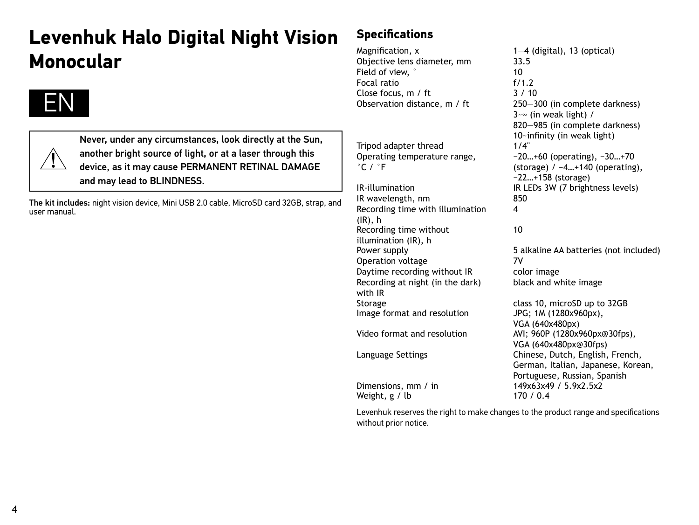# **Levenhuk Halo Digital Night Vision Monocular**



Never, under any circumstances, look directly at the Sun, another bright source of light, or at a laser through this device, as it may cause PERMANENT RETINAL DAMAGE and may lead to BLINDNESS.

The kit includes: night vision device, Mini USB 2.0 cable, MicroSD card 32GB, strap, and user manual.

### **Specifications**

Magnification,  $x$  1—4 (digital), 13 (optical)<br>Objective lens diameter mm 33.5 Objective lens diameter, mm 33.<br>Field of view  $\degree$  10 Field of view,  $\degree$  10<br>Focal ratio 6/1.2 Focal ratio f/1.2<br>Close focus m / ft 3 / 10 Close focus, m / ft<br>Observation distance, m / ft

Tripod adapter thread Operating temperature range,  $\degree$ C /  $\degree$ F

IR wavelength, nm Recording time with illumination (IR), h Recording time without illumination (IR), h Operation voltage 7V Daytime recording without IR color image Recording at night (in the dark) with IR Storage class 10, microSD up to 32GB Image format and resolution JPG; 1M (1280x960px), Video format and resolution AVI; 960P (1280x960px@30fps),

 $D$ imensions, mm / in 149x63x49<br>Weight. g / lb 170 / 0.4 Weight,  $g / lb$ 

250-300 (in complete darkness) 3~∞ (in weak light) / 820—985 (in complete darkness) 10-infinity (in weak light)  $1/4$ " −20…+60 (operating), −30…+70 (storage) / −4…+140 (operating), −22…+158 (storage) IR-illumination IR LEDs  $3W(7)$  brightness levels)<br>IR wavelength. nm  $850$ 4

### 10

Power supply 5 alkaline AA batteries (not included) black and white image

VGA (640x480px) VGA (640x480px@30fps) Language Settings Chinese, Dutch, English, French, German, Italian, Japanese, Korean, Portuguese, Russian, Spanish<br>149x63x49 / 5 9x2 5x2

Levenhuk reserves the right to make changes to the product range and specifications without prior notice.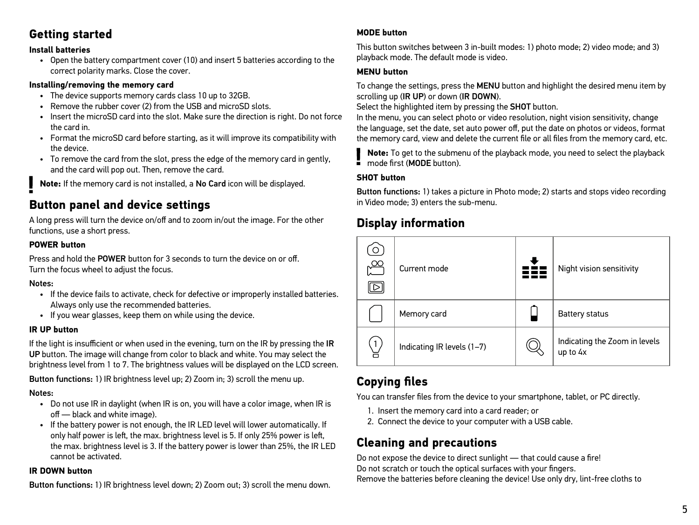### **Getting started**

#### **Install batteries**

• Open the battery compartment cover (10) and insert 5 batteries according to the correct polarity marks. Close the cover.

#### **Installing/removing the memory card**

- The device supports memory cards class 10 up to 32GB.
- Remove the rubber cover (2) from the USB and microSD slots.
- Insert the microSD card into the slot. Make sure the direction is right. Do not force the card in.
- Format the microSD card before starting, as it will improve its compatibility with the device.
- To remove the card from the slot, press the edge of the memory card in gently, and the card will pop out. Then, remove the card.

**Note:** If the memory card is not installed, a No Card icon will be displayed.

### **Button panel and device settings**

A long press will turn the device on/off and to zoom in/out the image. For the other functions, use a short press.

#### **POWER button**

Press and hold the POWER button for 3 seconds to turn the device on or off. Turn the focus wheel to adjust the focus.

#### Notes:

- If the device fails to activate, check for defective or improperly installed batteries. Always only use the recommended batteries.
- If you wear glasses, keep them on while using the device.

#### **IR UP button**

If the light is insufficient or when used in the evening, turn on the IR by pressing the IR UP button. The image will change from color to black and white. You may select the brightness level from 1 to 7. The brightness values will be displayed on the LCD screen. Button functions: 1) IR brightness level up; 2) Zoom in; 3) scroll the menu up.

#### Notes:

- Do not use IR in daylight (when IR is on, you will have a color image, when IR is off — black and white image).
- If the battery power is not enough, the IR LED level will lower automatically. If only half power is left, the max. brightness level is 5. If only 25% power is left, the max. brightness level is 3. If the battery power is lower than 25%, the IR LED cannot be activated.

#### **IR DOWN button**

Button functions: 1) IR brightness level down; 2) Zoom out; 3) scroll the menu down.

#### **MODE button**

This button switches between 3 in-built modes: 1) photo mode; 2) video mode; and 3) playback mode. The default mode is video.

#### **MENU button**

To change the settings, press the MENU button and highlight the desired menu item by scrolling up (IR UP) or down (IR DOWN).

Select the highlighted item by pressing the **SHOT** button.

In the menu, you can select photo or video resolution, night vision sensitivity, change the language, set the date, set auto power off, put the date on photos or videos, format the memory card, view and delete the current file or all files from the memory card, etc.

**Note:** To get to the submenu of the playback mode, you need to select the playback mode first (MODE button).

#### **SHOT button**

Button functions: 1) takes a picture in Photo mode; 2) starts and stops video recording in Video mode; 3) enters the sub-menu.

### **Display information**



### **Copying files**

You can transfer files from the device to your smartphone, tablet, or PC directly.

- 1. Insert the memory card into a card reader; or
- 2. Connect the device to your computer with a USB cable.

### **Cleaning and precautions**

Do not expose the device to direct sunlight - that could cause a fire! Do not scratch or touch the optical surfaces with your fingers. Remove the batteries before cleaning the device! Use only dry, lint-free cloths to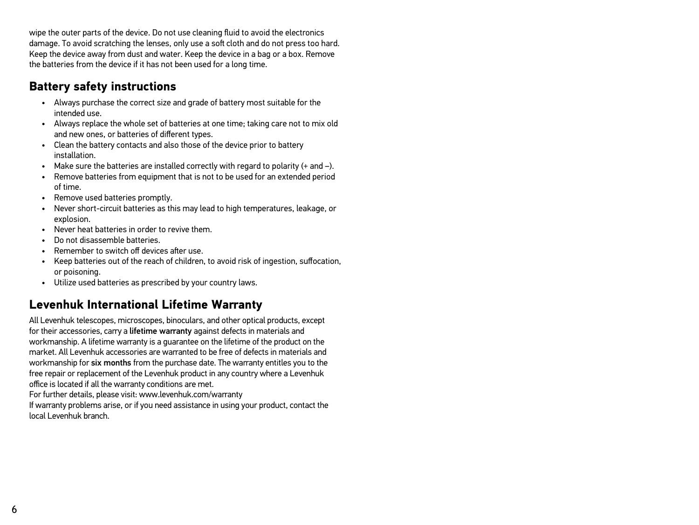wipe the outer parts of the device. Do not use cleaning fluid to avoid the electronics damage. To avoid scratching the lenses, only use a soft cloth and do not press too hard. Keep the device away from dust and water. Keep the device in a bag or a box. Remove the batteries from the device if it has not been used for a long time.

### **Battery safety instructions**

- Always purchase the correct size and grade of battery most suitable for the intended use.
- Always replace the whole set of batteries at one time; taking care not to mix old and new ones, or batteries of different types.
- Clean the battery contacts and also those of the device prior to battery installation.
- Make sure the batteries are installed correctly with regard to polarity (+ and –).
- Remove batteries from equipment that is not to be used for an extended period of time.
- Remove used batteries promptly.
- Never short-circuit batteries as this may lead to high temperatures, leakage, or explosion.
- Never heat batteries in order to revive them.
- Do not disassemble batteries.
- Remember to switch off devices after use.
- Keep batteries out of the reach of children, to avoid risk of ingestion, suffocation, or poisoning.
- Utilize used batteries as prescribed by your country laws.

### **Levenhuk International Lifetime Warranty**

All Levenhuk telescopes, microscopes, binoculars, and other optical products, except for their accessories, carry a lifetime warranty against defects in materials and workmanship. A lifetime warranty is a guarantee on the lifetime of the product on the market. All Levenhuk accessories are warranted to be free of defects in materials and workmanship for six months from the purchase date. The warranty entitles you to the free repair or replacement of the Levenhuk product in any country where a Levenhuk office is located if all the warranty conditions are met.

For further details, please visit: www.levenhuk.com/warranty

If warranty problems arise, or if you need assistance in using your product, contact the local Levenhuk branch.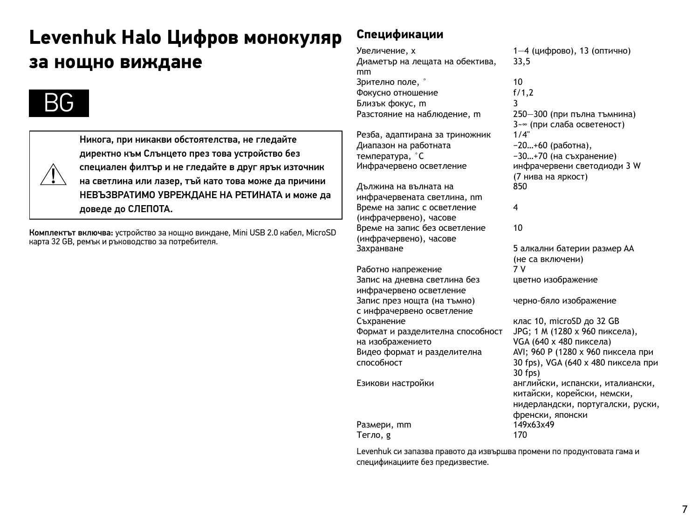# **Levenhuk Halo Цифров монокуляр за нощно виждане**



Никога, при никакви обстоятелства, не гледайте директно към Слънцето през това устройство без специален филтър и не гледайте в друг ярък източник на светлина или лазер, тъй като това може да причини НЕВЪЗВРАТИМО УВРЕЖДАНЕ НА РЕТИНАТА и може да доведе до СЛЕПОТА.

Комплектът включва: устройство за нощно виждане, Mini USB 2.0 кабел, MicroSD карта 32 GB, ремък и ръководство за потребителя.

### **Спецификации**

Увеличение, x 1—4 (цифрово), 13 (оптично) Диаметър на лещата на обектива, mm Зрително поле, ° 10 Фокусно отношение f/1,2 Близък фокус, m 3 Разстояние на наблюдение, m

Резба, адаптирана за триножник Диапазон на работната температура, °C<br>Инфрачервено осветление

Дължина на вълната на инфрачервената светлина, nm Време на запис с осветление (инфрачервено), часове Време на запис без осветление (инфрачервено), часове Захранване 5 алкални батерии размер AA

Работно напрежение Запис на дневна светлина без инфрачервено осветление Запис през нощта (на тъмно) с инфрачервено осветление Съхранение клас 10, microSD до 32 GB Формат и разделителна способност на изображението Видео формат и разделителна способност

Размери, mm 1493<br>Тегло я 170 Тегло, g

33,5 3~∞ (при слаба осветеност)<br>1/4" −20…+60 (работна), −30…+70 (на съхранение) инфрачервени светодиоди 3 W (7 нива на яркост) 850 4 10

(не са включени) цветно изображение

черно-бяло изображение

JPG; 1 M (1280 x 960 пиксела), VGA (640 x 480 пиксела) AVI; 960 P (1280 x 960 пиксела при 30 fps), VGA (640 x 480 пиксела при 30 fps) Езикови настройки английски, испански, италиански, китайски, корейски, немски, нидерландски, португалски, руски, френски, японски<br>149х63х49

Levenhuk си запазва правото да извършва промени по продуктовата гама и спецификациите без предизвестие.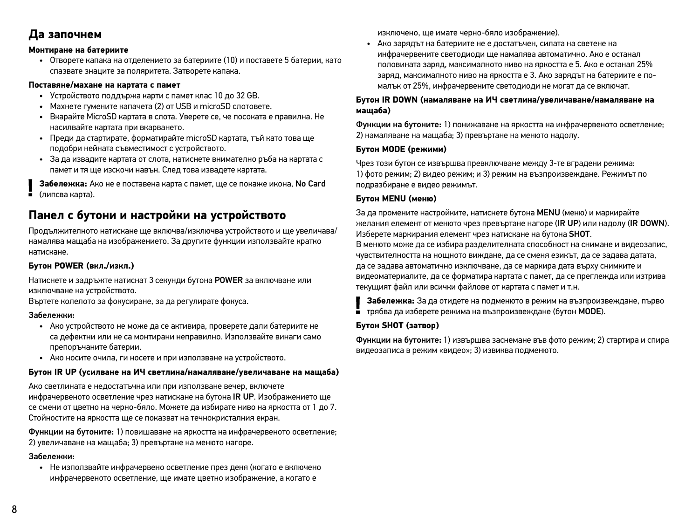### **Да започнем**

#### **Монтиране на батериите**

• Отворете капака на отделението за батериите (10) и поставете 5 батерии, като спазвате знаците за поляритета. Затворете капака.

#### **Поставяне/махане на картата с памет**

- Устройството поддържа карти с памет клас 10 до 32 GB.
- Махнете гумените капачета (2) от USB и microSD слотовете.
- Вкарайте MicroSD картата в слота. Уверете се, че посоката е правилна. Не насилвайте картата при вкарването.
- Преди да стартирате, форматирайте microSD картата, тъй като това ще подобри нейната съвместимост с устройството.
- За да извадите картата от слота, натиснете внимателно ръба на картата с памет и тя ще изскочи навън. След това извадете картата.

**Забележка:** Ако не е поставена карта с памет, ще се покаже икона, No Card (липсва карта).

### **Панел с бутони и настройки на устройството**

Продължителното натискане ще включва/изключва устройството и ще увеличава/ намалява мащаба на изображението. За другите функции използвайте кратко натискане.

#### **Бутон POWER (вкл./изкл.)**

Натиснете и задръжте натиснат 3 секунди бутона POWER за включване или изключване на устройството.

Въртете колелото за фокусиране, за да регулирате фокуса.

#### Забележки:

- Ако устройството не може да се активира, проверете дали батериите не са дефектни или не са монтирани неправилно. Използвайте винаги само препоръчаните батерии.
- Ако носите очила, ги носете и при използване на устройството.

#### **Бутон IR UP (усилване на ИЧ светлина/намаляване/увеличаване на мащаба)**

Ако светлината е недостатъчна или при използване вечер, включете инфрачервеното осветление чрез натискане на бутона IR UP. Изображението ще се смени от цветно на черно-бяло. Можете да избирате ниво на яркостта от 1 до 7. Стойностите на яркостта ще се показват на течнокристалния екран.

Функции на бутоните: 1) повишаване на яркостта на инфрачервеното осветление; 2) увеличаване на мащаба; 3) превъртане на менюто нагоре.

#### Забележки:

• Не използвайте инфрачервено осветление през деня (когато е включено инфрачервеното осветление, ще имате цветно изображение, а когато е

изключено, ще имате черно-бяло изображение).

• Ако зарядът на батериите не е достатъчен, силата на светене на инфрачервените светодиоди ще намалява автоматично. Ако е останал половината заряд, максималното ниво на яркостта е 5. Ако е останал 25% заряд, максималното ниво на яркостта е 3. Ако зарядът на батериите е помалък от 25%, инфрачервените светодиоди не могат да се включат.

#### **Бутон IR DOWN (намаляване на ИЧ светлина/увеличаване/намаляване на мащаба)**

Функции на бутоните: 1) понижаване на яркостта на инфрачервеното осветление; 2) намаляване на мащаба; 3) превъртане на менюто надолу.

#### **Бутон MODE (режими)**

Чрез този бутон се извършва превключване между 3-те вградени режима: 1) фото режим; 2) видео режим; и 3) режим на възпроизвеждане. Режимът по подразбиране е видео режимът.

#### **Бутон MENU (меню)**

За да промените настройките, натиснете бутона MENU (меню) и маркирайте желания елемент от менюто чрез превъртане нагоре (IR UP) или надолу (IR DOWN). Изберете маркирания елемент чрез натискане на бутона SHOT.

В менюто може да се избира разделителната способност на снимане и видеозапис, чувствителността на нощното виждане, да се сменя езикът, да се задава датата, да се задава автоматично изключване, да се маркира дата върху снимките и видеоматериалите, да се форматира картата с памет, да се преглежда или изтрива текущият файл или всички файлове от картата с памет и т.н.

**Забележка:** За да отидете на подменюто в режим на възпроизвеждане, първо трябва да изберете режима на възпроизвеждане (бутон MODE).

#### **Бутон SHOT (затвор)**

Функции на бутоните: 1) извършва заснемане във фото режим; 2) стартира и спира видеозаписа в режим «видео»; 3) извиква подменюто.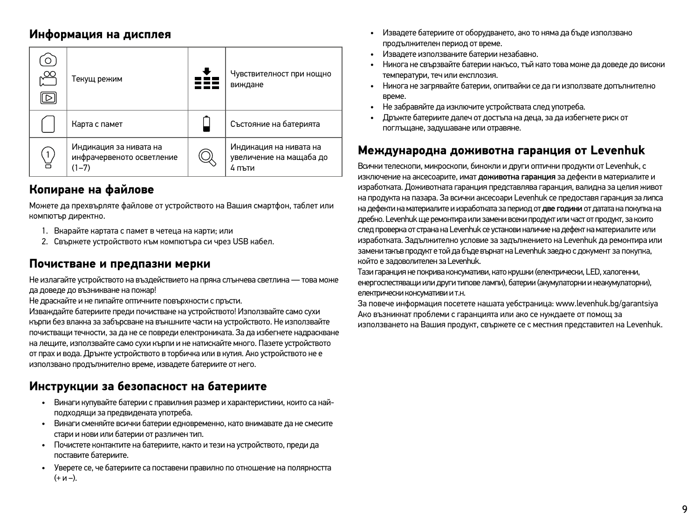### **Информация на дисплея**

| Ă<br>▷ | Текущ режим                                                      | Чувствителност при нощно<br>виждане                         |
|--------|------------------------------------------------------------------|-------------------------------------------------------------|
|        | Карта с памет                                                    | Състояние на батерията                                      |
|        | Индикация за нивата на<br>инфрачервеното осветление<br>$(1 - 7)$ | Индикация на нивата на<br>увеличение на мащаба до<br>4 пъти |

### **Копиране на файлове**

Можете да прехвърляте файлове от устройството на Вашия смартфон, таблет или компютър директно.

- 1. Вкарайте картата с памет в четеца на карти; или
- 2. Свържете устройството към компютъра си чрез USB кабел.

### **Почистване и предпазни мерки**

Не излагайте устройството на въздействието на пряка слънчева светлина — това може да доведе до възникване на пожар!

Не драскайте и не пипайте оптичните повърхности с пръсти.

Изваждайте батериите преди почистване на устройството! Използвайте само сухи кърпи без влакна за забърсване на външните части на устройството. Не използвайте почистващи течности, за да не се повреди електрониката. За да избегнете надраскване на лещите, използвайте само сухи кърпи и не натискайте много. Пазете устройството от прах и вода. Дръжте устройството в торбичка или в кутия. Ако устройството не е използвано продължително време, извадете батериите от него.

### **Инструкции за безопасност на батериите**

- Винаги купувайте батерии с правилния размер и характеристики, които са найподходящи за предвидената употреба.
- Винаги сменяйте всички батерии едновременно, като внимавате да не смесите стари и нови или батерии от различен тип.
- Почистете контактите на батериите, както и тези на устройството, преди да поставите батериите.
- Уверете се, че батериите са поставени правилно по отношение на полярността (+ и –).
- Извадете батериите от оборудването, ако то няма да бъде използвано продължителен период от време.
- Извадете използваните батерии незабавно.
- Никога не свързвайте батерии накъсо, тъй като това може да доведе до високи температури, теч или експлозия.
- Никога не загрявайте батерии, опитвайки се да ги използвате допълнително време.
- Не забравяйте да изключите устройствата след употреба.
- Дръжте батериите далеч от достъпа на деца, за да избегнете риск от поглъщане, задушаване или отравяне.

### **Международна доживотна гаранция от Levenhuk**

Всички телескопи, микроскопи, бинокли и други оптични продукти от Levenhuk, с изключение на аксесоарите, имат доживотна гаранция за дефекти в материалите и изработката. Доживотната гаранция представлява гаранция, валидна за целия живот на продукта на пазара. За всички аксесоари Levenhuk се предоставя гаранция за липса на дефекти на материалите и изработката за период от две години от датата на покупка на дребно. Levenhuk ще ремонтира или замени всеки продукт или част от продукт, за които след проверка от страна на Levenhuk се установи наличие на дефект на материалите или изработката. Задължително условие за задължението на Levenhuk да ремонтира или замени такъв продукт е той да бъде върнат на Levenhuk заедно с документ за покупка, който е задоволителен за Levenhuk.

Тази гаранция не покрива консумативи, като крушки (електрически, LED, халогенни, енергоспестяващи или други типове лампи), батерии (акумулаторни и неакумулаторни), електрически консумативи и т.н.

За повече информация посетете нашата уебстраница: www.levenhuk.bg/garantsiya Ако възникнат проблеми с гаранцията или ако се нуждаете от помощ за използването на Вашия продукт, свържете се с местния представител на Levenhuk.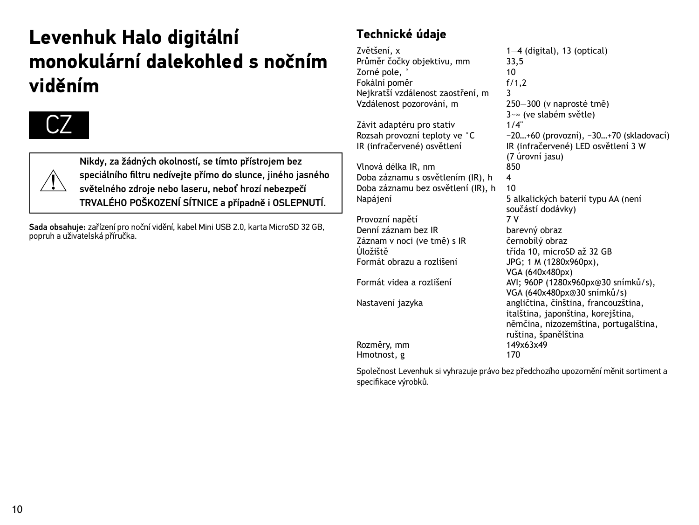# **Levenhuk Halo digitální monokulární dalekohled s nočním viděním**





Nikdy, za žádných okolností, se tímto přístrojem bez speciálního filtru nedívejte přímo do slunce, jiného jasného světelného zdroje nebo laseru, neboť hrozí nebezpečí TRVALÉHO POŠKOZENÍ SÍTNICE a případně i OSLEPNUTÍ.

Sada obsahuje: zařízení pro noční vidění, kabel Mini USB 2.0, karta MicroSD 32 GB, popruh a uživatelská příručka.

### **Technické údaje**

Zvětšení, x 1—4 (digital), 13 (optical)<br>Průměr čočky objektivu. mm 33.5 Průměr čočky objektivu, mm  $\frac{33}{5}$ , 33, Zorné pole, ° 10 Fokální poměr Nejkratší vzdálenost zaostření, m 3<br>Vzdálenost pozorování, m 3

Závit adaptéru pro stativ Rozsah provozní teploty ve °C −20…+60 (provozní), −30…+70 (skladovací)<br>IR (infračervené) osvětlení − − 1R (infračervené) LED osvětlení 3 W

Vlnová délka IR, nm 850 Doba záznamu s osvětlením (IR), h 4 Doba záznamu bez osvětlení (IR), h 10 Napájení 5 alkalických baterií typu AA (není

součástí dodávky) Provozní napětí Denní záznam bez IR<br>Záznam v noci (ve tmě) s IR bernobílý obraz Záznam v noci (ve tmě) s IR<br>Úložiště Úložiště třída 10, microSD až 32 GB<br>Formát obrazu a rozlišení trída 10, microSD až 32 GB JPG: 1 M (1280x960px), VGA (640x480px) Formát videa a rozlišení  $AVI$ : 960P (1280x960px@30 snímků/s), VGA (640x480px@30 snímků/s) Nastavení jazyka angličtina, čínština, francouzština, italština, japonština, korejština, němčina, nizozemština, portugalština, ruština, španělština<br>149×63×49 Rozměry, mm 1493<br>Hmotnost, g 170 Hmotnost, g

Společnost Levenhuk si vyhrazuje právo bez předchozího upozornění měnit sortiment a specifikace výrobků.

 $250 - 300$  (v naprosté tmě) 3~∞ (ve slabém světle)<br>1/4"

(7 úrovní jasu)

IR (infračervené) LED osvětlení 3 W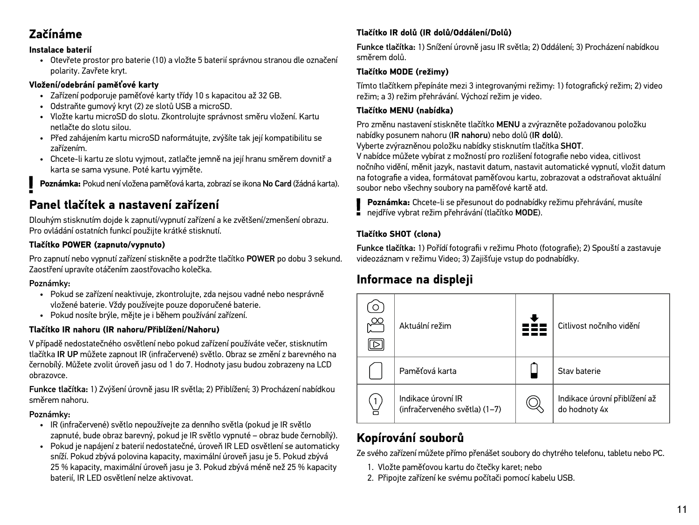### **Začínáme**

#### **Instalace baterií**

• Otevřete prostor pro baterie (10) a vložte 5 baterií správnou stranou dle označení polarity. Zavřete kryt.

#### **Vložení/odebrání paměťové karty**

- Zařízení podporuje paměťové karty třídy 10 s kapacitou až 32 GB.
- Odstraňte gumový kryt (2) ze slotů USB a microSD.
- Vložte kartu microSD do slotu. Zkontrolujte správnost směru vložení. Kartu netlačte do slotu silou.
- Před zahájením kartu microSD naformátujte, zvýšíte tak její kompatibilitu se zařízením.
- Chcete-li kartu ze slotu vyjmout, zatlačte jemně na její hranu směrem dovnitř a karta se sama vysune. Poté kartu vyjměte.

**Poznámka:** Pokud není vložena paměťová karta, zobrazí se ikona No Card (žádná karta).

### **Panel tlačítek a nastavení zařízení**

Dlouhým stisknutím dojde k zapnutí/vypnutí zařízení a ke zvětšení/zmenšení obrazu. Pro ovládání ostatních funkcí použijte krátké stisknutí.

### **Tlačítko POWER (zapnuto/vypnuto)**

Pro zapnutí nebo vypnutí zařízení stiskněte a podržte tlačítko POWER po dobu 3 sekund. Zaostření upravíte otáčením zaostřovacího kolečka.

#### Poznámky:

- Pokud se zařízení neaktivuje, zkontrolujte, zda nejsou vadné nebo nesprávně vložené baterie. Vždy používejte pouze doporučené baterie.
- Pokud nosíte brýle, mějte je i během používání zařízení.

#### **Tlačítko IR nahoru (IR nahoru/Přiblížení/Nahoru)**

V případě nedostatečného osvětlení nebo pokud zařízení používáte večer, stisknutím tlačítka IR UP můžete zapnout IR (infračervené) světlo. Obraz se změní z barevného na černobílý. Můžete zvolit úroveň jasu od 1 do 7. Hodnoty jasu budou zobrazeny na LCD obrazovce.

Funkce tlačítka: 1) Zvýšení úrovně jasu IR světla; 2) Přiblížení; 3) Procházení nabídkou směrem nahoru.

#### Poznámky:

- IR (infračervené) světlo nepoužívejte za denního světla (pokud je IR světlo zapnuté, bude obraz barevný, pokud je IR světlo vypnuté – obraz bude černobílý).
- Pokud je napájení z baterií nedostatečné, úroveň IR LED osvětlení se automaticky sníží. Pokud zbývá polovina kapacity, maximální úroveň jasu je 5. Pokud zbývá 25 % kapacity, maximální úroveň jasu je 3. Pokud zbývá méně než 25 % kapacity baterií, IR LED osvětlení nelze aktivovat.

#### **Tlačítko IR dolů (IR dolů/Oddálení/Dolů)**

Funkce tlačítka: 1) Snížení úrovně jasu IR světla; 2) Oddálení; 3) Procházení nabídkou směrem dolů.

#### **Tlačítko MODE (režimy)**

Tímto tlačítkem přepínáte mezi 3 integrovanými režimy: 1) fotografický režim; 2) video režim; a 3) režim přehrávání. Výchozí režim je video.

#### **Tlačítko MENU (nabídka)**

Pro změnu nastavení stiskněte tlačítko MENU a zvýrazněte požadovanou položku nabídky posunem nahoru (IR nahoru) nebo dolů (IR dolů). Vyberte zvýrazněnou položku nabídky stisknutím tlačítka SHOT.

V nabídce můžete vybírat z možností pro rozlišení fotografie nebo videa, citlivost nočního vidění, měnit jazyk, nastavit datum, nastavit automatické vypnutí, vložit datum na fotografie a videa, formátovat paměťovou kartu, zobrazovat a odstraňovat aktuální soubor nebo všechny soubory na paměťové kartě atd.

**Poznámka:** Chcete-li se přesunout do podnabídky režimu přehrávání, musíte nejdříve vybrat režim přehrávání (tlačítko MODE).

### **Tlačítko SHOT (clona)**

Funkce tlačítka: 1) Pořídí fotografii v režimu Photo (fotografie); 2) Spouští a zastavuje videozáznam v režimu Video; 3) Zajišťuje vstup do podnabídky.

### **Informace na displeji**



### **Kopírování souborů**

Ze svého zařízení můžete přímo přenášet soubory do chytrého telefonu, tabletu nebo PC.

- 1. Vložte paměťovou kartu do čtečky karet; nebo
- 2. Připojte zařízení ke svému počítači pomocí kabelu USB.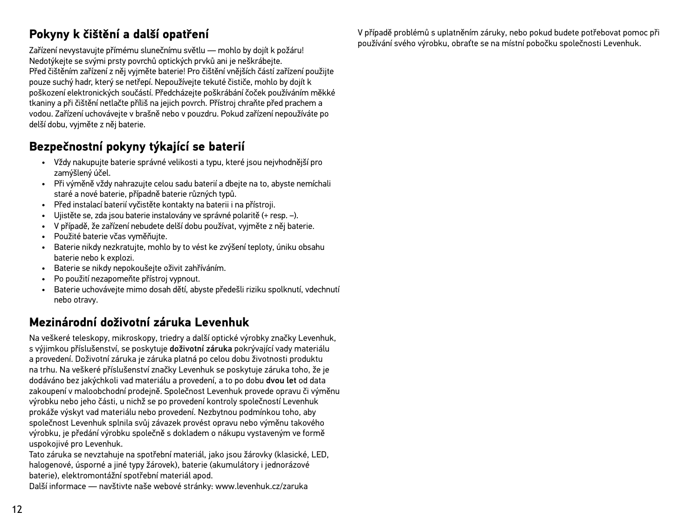### **Pokyny k čištění a další opatření**

Zařízení nevystavujte přímému slunečnímu světlu — mohlo by dojít k požáru! Nedotýkejte se svými prsty povrchů optických prvků ani je neškrábejte. Před čištěním zařízení z něj vyjměte baterie! Pro čištění vnějších částí zařízení použijte pouze suchý hadr, který se netřepí. Nepoužívejte tekuté čističe, mohlo by dojít k poškození elektronických součástí. Předcházejte poškrábání čoček používáním měkké tkaniny a při čištění netlačte příliš na jejich povrch. Přístroj chraňte před prachem a vodou. Zařízení uchovávejte v brašně nebo v pouzdru. Pokud zařízení nepoužíváte po delší dobu, vyjměte z něj baterie.

### **Bezpečnostní pokyny týkající se baterií**

- Vždy nakupujte baterie správné velikosti a typu, které jsou nejvhodnější pro zamýšlený účel.
- Při výměně vždy nahrazujte celou sadu baterií a dbejte na to, abyste nemíchali staré a nové baterie, případně baterie různých typů.
- Před instalací baterií vyčistěte kontakty na baterii i na přístroji.
- Ujistěte se, zda jsou baterie instalovány ve správné polaritě (+ resp. –).
- V případě, že zařízení nebudete delší dobu používat, vyjměte z něj baterie.
- Použité baterie včas vyměňujte.
- Baterie nikdy nezkratujte, mohlo by to vést ke zvýšení teploty, úniku obsahu baterie nebo k explozi.
- Baterie se nikdy nepokoušejte oživit zahříváním.
- Po použití nezapomeňte přístroj vypnout.
- Baterie uchovávejte mimo dosah dětí, abyste předešli riziku spolknutí, vdechnutí nebo otravy.

### **Mezinárodní doživotní záruka Levenhuk**

Na veškeré teleskopy, mikroskopy, triedry a další optické výrobky značky Levenhuk, s výjimkou příslušenství, se poskytuje doživotní záruka pokrývající vady materiálu a provedení. Doživotní záruka je záruka platná po celou dobu životnosti produktu na trhu. Na veškeré příslušenství značky Levenhuk se poskytuje záruka toho, že je dodáváno bez jakýchkoli vad materiálu a provedení, a to po dobu dvou let od data zakoupení v maloobchodní prodejně. Společnost Levenhuk provede opravu či výměnu výrobku nebo jeho části, u nichž se po provedení kontroly společností Levenhuk prokáže výskyt vad materiálu nebo provedení. Nezbytnou podmínkou toho, aby společnost Levenhuk splnila svůj závazek provést opravu nebo výměnu takového výrobku, je předání výrobku společně s dokladem o nákupu vystaveným ve formě uspokojivé pro Levenhuk.

Tato záruka se nevztahuje na spotřební materiál, jako jsou žárovky (klasické, LED, halogenové, úsporné a jiné typy žárovek), baterie (akumulátory i jednorázové baterie), elektromontážní spotřební materiál apod.

Další informace — navštivte naše webové stránky: www.levenhuk.cz/zaruka

V případě problémů s uplatněním záruky, nebo pokud budete potřebovat pomoc při používání svého výrobku, obraťte se na místní pobočku společnosti Levenhuk.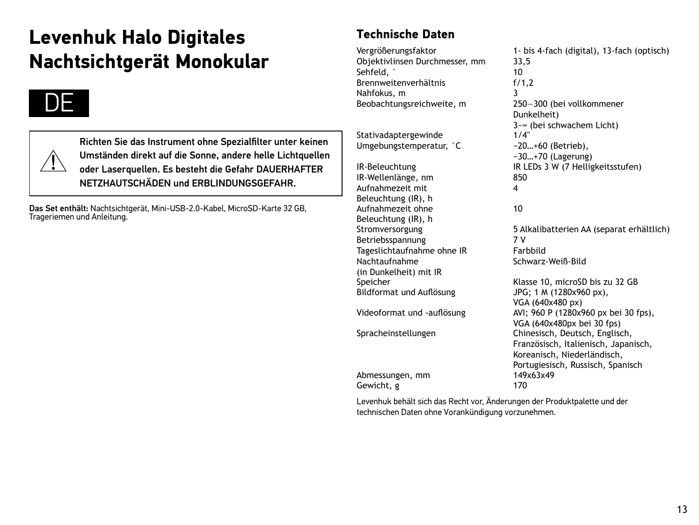# **Levenhuk Halo Digitales Nachtsichtgerät Monokular**

# DE



Richten Sie das Instrument ohne Spezialfilter unter keinen Umständen direkt auf die Sonne, andere helle Lichtquellen oder Laserquellen. Es besteht die Gefahr DAUERHAFTER NETZHAUTSCHÄDEN und ERBLINDUNGSGEFAHR.

Das Set enthält: Nachtsichtgerät, Mini-USB-2.0-Kabel, MicroSD-Karte 32 GB, Trageriemen und Anleitung.

### **Technische Daten**

Objektivlinsen Durchmesser, mm 33,5 Sehfeld, ° 10 Brennweitenverhältnis Nahfokus, m 3

Stativadaptergewinde 1/4"<br>Umgebungstemperatur. °C -20...+60 (Betrieb). Umgebungstemperatur, °C

IR-Wellenlänge, nm 850 Aufnahmezeit mit Beleuchtung (IR), h Aufnahmezeit ohne Beleuchtung (IR), h<br>Stromversorgung Betriebsspannung 17 V<br>Tageslichtaufnahme ohne IR 17 Farbbild Tageslichtaufnahme ohne IR Nachtaufnahme (in Dunkelheit) mit IR Bildformat und Auflösung JPG; 1 M (1280x960 px), Abmessungen, mm 1493<br>Gewicht a 170 Gewicht, g

Vergrößerungsfaktor 1- bis 4-fach (digital), 13-fach (optisch) 250-300 (bei vollkommener Dunkelheit) 3~∞ (bei schwachem Licht) −30…+70 (Lagerung) IR-Beleuchtung IR LEDs 3 W (7 Helligkeitsstufen) 4 10 5 Alkalibatterien AA (separat erhältlich) Schwarz-Weiß-Bild Klasse 10, microSD bis zu 32 GB VGA (640x480 px) Videoformat und -auflösung AVI: 960 P (1280x960 px bei 30 fps). VGA (640x480px bei 30 fps) Spracheinstellungen Chinesisch, Deutsch, Englisch, Französisch, Italienisch, Japanisch, Koreanisch, Niederländisch, Portugiesisch, Russisch, Spanisch<br>149x63x49

Levenhuk behält sich das Recht vor, Änderungen der Produktpalette und der technischen Daten ohne Vorankündigung vorzunehmen.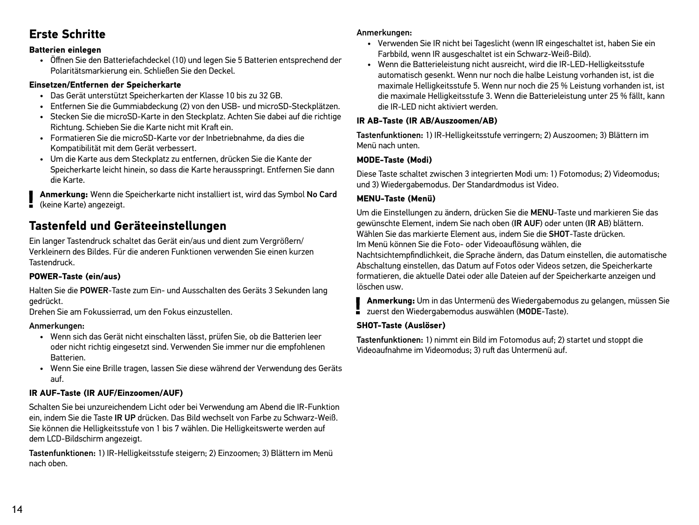### **Erste Schritte**

#### **Batterien einlegen**

• Öffnen Sie den Batteriefachdeckel (10) und legen Sie 5 Batterien entsprechend der Polaritätsmarkierung ein. Schließen Sie den Deckel.

#### **Einsetzen/Entfernen der Speicherkarte**

- Das Gerät unterstützt Speicherkarten der Klasse 10 bis zu 32 GB.
- Entfernen Sie die Gummiabdeckung (2) von den USB- und microSD-Steckplätzen.
- Stecken Sie die microSD-Karte in den Steckplatz. Achten Sie dabei auf die richtige Richtung. Schieben Sie die Karte nicht mit Kraft ein.
- Formatieren Sie die microSD-Karte vor der Inbetriebnahme, da dies die Kompatibilität mit dem Gerät verbessert.
- Um die Karte aus dem Steckplatz zu entfernen, drücken Sie die Kante der Speicherkarte leicht hinein, so dass die Karte herausspringt. Entfernen Sie dann die Karte.

**Anmerkung:** Wenn die Speicherkarte nicht installiert ist, wird das Symbol No Card (keine Karte) angezeigt.

### **Tastenfeld und Geräteeinstellungen**

Ein langer Tastendruck schaltet das Gerät ein/aus und dient zum Vergrößern/ Verkleinern des Bildes. Für die anderen Funktionen verwenden Sie einen kurzen Tastendruck.

### **POWER-Taste (ein/aus)**

Halten Sie die POWER-Taste zum Ein- und Ausschalten des Geräts 3 Sekunden lang gedrückt.

Drehen Sie am Fokussierrad, um den Fokus einzustellen.

#### Anmerkungen:

- Wenn sich das Gerät nicht einschalten lässt, prüfen Sie, ob die Batterien leer oder nicht richtig eingesetzt sind. Verwenden Sie immer nur die empfohlenen Batterien.
- Wenn Sie eine Brille tragen, lassen Sie diese während der Verwendung des Geräts auf.

### **IR AUF-Taste (IR AUF/Einzoomen/AUF)**

Schalten Sie bei unzureichendem Licht oder bei Verwendung am Abend die IR-Funktion ein, indem Sie die Taste IR UP drücken. Das Bild wechselt von Farbe zu Schwarz-Weiß. Sie können die Helligkeitsstufe von 1 bis 7 wählen. Die Helligkeitswerte werden auf dem LCD-Bildschirm angezeigt.

Tastenfunktionen: 1) IR-Helligkeitsstufe steigern; 2) Einzoomen; 3) Blättern im Menü nach oben.

#### Anmerkungen:

- Verwenden Sie IR nicht bei Tageslicht (wenn IR eingeschaltet ist, haben Sie ein Farbbild, wenn IR ausgeschaltet ist ein Schwarz-Weiß-Bild).
- Wenn die Batterieleistung nicht ausreicht, wird die IR-LED-Helligkeitsstufe automatisch gesenkt. Wenn nur noch die halbe Leistung vorhanden ist, ist die maximale Helligkeitsstufe 5. Wenn nur noch die 25 % Leistung vorhanden ist, ist die maximale Helligkeitsstufe 3. Wenn die Batterieleistung unter 25 % fällt, kann die IR-LED nicht aktiviert werden.

#### **IR AB-Taste (IR AB/Auszoomen/AB)**

Tastenfunktionen: 1) IR-Helligkeitsstufe verringern; 2) Auszoomen; 3) Blättern im Menü nach unten.

### **MODE-Taste (Modi)**

Diese Taste schaltet zwischen 3 integrierten Modi um: 1) Fotomodus; 2) Videomodus; und 3) Wiedergabemodus. Der Standardmodus ist Video.

### **MENU-Taste (Menü)**

Um die Einstellungen zu ändern, drücken Sie die MENU-Taste und markieren Sie das gewünschte Element, indem Sie nach oben (IR AUF) oder unten (IR AB) blättern. Wählen Sie das markierte Element aus, indem Sie die SHOT-Taste drücken. Im Menü können Sie die Foto- oder Videoauflösung wählen, die Nachtsichtempfindlichkeit, die Sprache ändern, das Datum einstellen, die automatische Abschaltung einstellen, das Datum auf Fotos oder Videos setzen, die Speicherkarte formatieren, die aktuelle Datei oder alle Dateien auf der Speicherkarte anzeigen und löschen usw.

**Anmerkung:** Um in das Untermenü des Wiedergabemodus zu gelangen, müssen Sie zuerst den Wiedergabemodus auswählen (MODE-Taste).

### **SHOT-Taste (Auslöser)**

Tastenfunktionen: 1) nimmt ein Bild im Fotomodus auf; 2) startet und stoppt die Videoaufnahme im Videomodus; 3) ruft das Untermenü auf.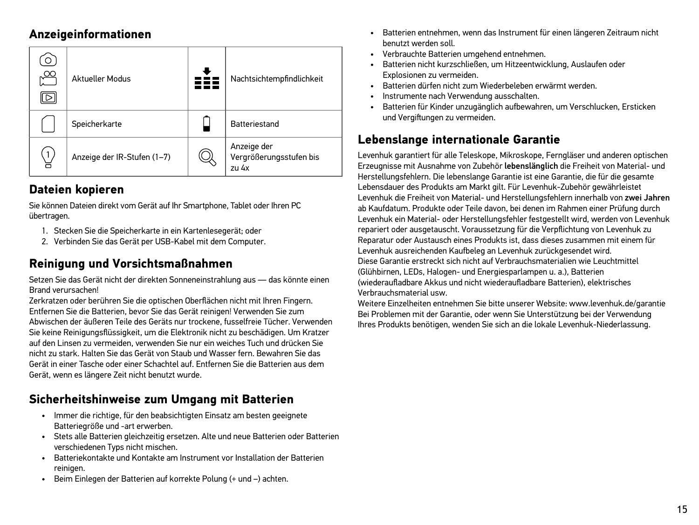### **Anzeigeinformationen**

| $\circ$<br>$\approx$<br>ч⊳. | <b>Aktueller Modus</b>      | Nachtsichtempfindlichkeit                       |
|-----------------------------|-----------------------------|-------------------------------------------------|
|                             | Speicherkarte               | <b>Batteriestand</b>                            |
| 1                           | Anzeige der IR-Stufen (1-7) | Anzeige der<br>Vergrößerungsstufen bis<br>zu 4x |

### **Dateien kopieren**

Sie können Dateien direkt vom Gerät auf Ihr Smartphone, Tablet oder Ihren PC übertragen.

- 1. Stecken Sie die Speicherkarte in ein Kartenlesegerät; oder
- 2. Verbinden Sie das Gerät per USB-Kabel mit dem Computer.

### **Reinigung und Vorsichtsmaßnahmen**

Setzen Sie das Gerät nicht der direkten Sonneneinstrahlung aus — das könnte einen Brand verursachen!

Zerkratzen oder berühren Sie die optischen Oberflächen nicht mit Ihren Fingern. Entfernen Sie die Batterien, bevor Sie das Gerät reinigen! Verwenden Sie zum Abwischen der äußeren Teile des Geräts nur trockene, fusselfreie Tücher. Verwenden Sie keine Reinigungsflüssigkeit, um die Elektronik nicht zu beschädigen. Um Kratzer auf den Linsen zu vermeiden, verwenden Sie nur ein weiches Tuch und drücken Sie nicht zu stark. Halten Sie das Gerät von Staub und Wasser fern. Bewahren Sie das Gerät in einer Tasche oder einer Schachtel auf. Entfernen Sie die Batterien aus dem Gerät, wenn es längere Zeit nicht benutzt wurde.

### **Sicherheitshinweise zum Umgang mit Batterien**

- Immer die richtige, für den beabsichtigten Einsatz am besten geeignete Batteriegröße und -art erwerben.
- Stets alle Batterien gleichzeitig ersetzen. Alte und neue Batterien oder Batterien verschiedenen Typs nicht mischen.
- Batteriekontakte und Kontakte am Instrument vor Installation der Batterien reinigen.
- Beim Einlegen der Batterien auf korrekte Polung (+ und –) achten.
- Batterien entnehmen, wenn das Instrument für einen längeren Zeitraum nicht benutzt werden soll.
- Verbrauchte Batterien umgehend entnehmen.
- Batterien nicht kurzschließen, um Hitzeentwicklung, Auslaufen oder Explosionen zu vermeiden.
- Batterien dürfen nicht zum Wiederbeleben erwärmt werden.
- Instrumente nach Verwendung ausschalten.
- Batterien für Kinder unzugänglich aufbewahren, um Verschlucken, Ersticken und Vergiftungen zu vermeiden.

### **Lebenslange internationale Garantie**

Levenhuk garantiert für alle Teleskope, Mikroskope, Ferngläser und anderen optischen Erzeugnisse mit Ausnahme von Zubehör lebenslänglich die Freiheit von Material- und Herstellungsfehlern. Die lebenslange Garantie ist eine Garantie, die für die gesamte Lebensdauer des Produkts am Markt gilt. Für Levenhuk-Zubehör gewährleistet Levenhuk die Freiheit von Material- und Herstellungsfehlern innerhalb von zwei Jahren ab Kaufdatum. Produkte oder Teile davon, bei denen im Rahmen einer Prüfung durch Levenhuk ein Material- oder Herstellungsfehler festgestellt wird, werden von Levenhuk repariert oder ausgetauscht. Voraussetzung für die Verpflichtung von Levenhuk zu Reparatur oder Austausch eines Produkts ist, dass dieses zusammen mit einem für Levenhuk ausreichenden Kaufbeleg an Levenhuk zurückgesendet wird. Diese Garantie erstreckt sich nicht auf Verbrauchsmaterialien wie Leuchtmittel (Glühbirnen, LEDs, Halogen- und Energiesparlampen u. a.), Batterien (wiederaufladbare Akkus und nicht wiederaufladbare Batterien), elektrisches Verbrauchsmaterial usw.

Weitere Einzelheiten entnehmen Sie bitte unserer Website: www.levenhuk.de/garantie Bei Problemen mit der Garantie, oder wenn Sie Unterstützung bei der Verwendung Ihres Produkts benötigen, wenden Sie sich an die lokale Levenhuk-Niederlassung.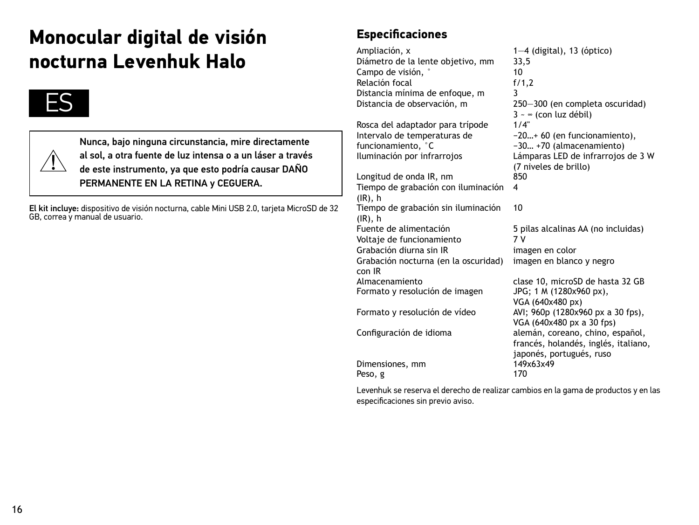# **Monocular digital de visión nocturna Levenhuk Halo**



Nunca, bajo ninguna circunstancia, mire directamente al sol, a otra fuente de luz intensa o a un láser a través de este instrumento, ya que esto podría causar DAÑO PERMANENTE EN LA RETINA y CEGUERA.

El kit incluye: dispositivo de visión nocturna, cable Mini USB 2.0, tarjeta MicroSD de 32 GB, correa y manual de usuario.

### **Especificaciones**

Ampliación, x 1—4 (digital), 13 (óptico)<br>Diámetro de la lente obietivo, mm 33.5 Diámetro de la lente objetivo, mm 33,<br>Campo de visión Campo de visión, ° 10 Relación focal f/<br>Distancia mínima de enfoque, m Distancia mínima de enfoque, m<br>Distancia de observación, m

Rosca del adaptador para trípode Intervalo de temperaturas de funcionamiento, °C<br>Iluminación por infrarroios

Longitud de onda IR, nm Tiempo de grabación con iluminación (IR), h 4 Tiempo de grabación sin iluminación (IR), h<br>Euente de alimentación 10 Voltaje de funcionamiento Grabación diurna sin IR imagen en color Grabación nocturna (en la oscuridad) con IR<br>Almacenamiento Formato y resolución de imagen JPG; 1 M (1280x960 px), Formato y resolución de vídeo AVI; 960p (1280x960 px a 30 fps), Configuración de idioma alemán, coreano, chino, español,

Dimensiones, mm 1493<br>Pesous 170 Peso, g

250-300 (en completa oscuridad)  $3 \sim \infty$  (con luz débil)<br> $1/4$ " −20…+ 60 (en funcionamiento), −30… +70 (almacenamiento) Lámparas LED de infrarrojos de 3 W (7 niveles de brillo) 5 pilas alcalinas AA (no incluidas)<br>7 V imagen en blanco y negro clase 10, microSD de hasta 32 GB VGA (640x480 px) VGA (640x480 px a 30 fps) francés, holandés, inglés, italiano, japonés, portugués, ruso<br>149x63x49

Levenhuk se reserva el derecho de realizar cambios en la gama de productos y en las especificaciones sin previo aviso.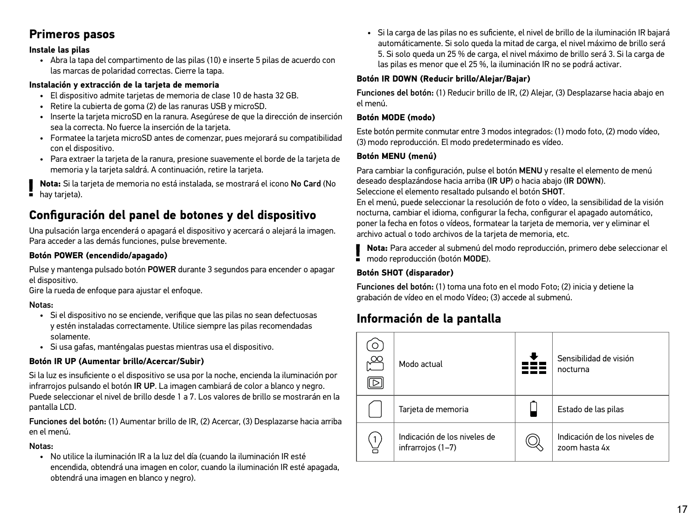### **Primeros pasos**

#### **Instale las pilas**

• Abra la tapa del compartimento de las pilas (10) e inserte 5 pilas de acuerdo con las marcas de polaridad correctas. Cierre la tapa.

#### **Instalación y extracción de la tarjeta de memoria**

- El dispositivo admite tarjetas de memoria de clase 10 de hasta 32 GB.
- Retire la cubierta de goma (2) de las ranuras USB y microSD.
- Inserte la tarjeta microSD en la ranura. Asegúrese de que la dirección de inserción sea la correcta. No fuerce la inserción de la tarjeta.
- Formatee la tarjeta microSD antes de comenzar, pues mejorará su compatibilidad con el dispositivo.
- Para extraer la tarjeta de la ranura, presione suavemente el borde de la tarjeta de memoria y la tarjeta saldrá. A continuación, retire la tarjeta.

**Nota:** Si la tarjeta de memoria no está instalada, se mostrará el icono No Card (No hay tarieta)

### **Configuración del panel de botones y del dispositivo**

Una pulsación larga encenderá o apagará el dispositivo y acercará o alejará la imagen. Para acceder a las demás funciones, pulse brevemente.

### **Botón POWER (encendido/apagado)**

Pulse y mantenga pulsado botón POWER durante 3 segundos para encender o apagar el dispositivo.

Gire la rueda de enfoque para ajustar el enfoque.

#### Notas:

- Si el dispositivo no se enciende, verifique que las pilas no sean defectuosas y estén instaladas correctamente. Utilice siempre las pilas recomendadas solamente.
- Si usa gafas, manténgalas puestas mientras usa el dispositivo.

#### **Botón IR UP (Aumentar brillo/Acercar/Subir)**

Si la luz es insuficiente o el dispositivo se usa por la noche, encienda la iluminación por infrarrojos pulsando el botón IR UP. La imagen cambiará de color a blanco y negro. Puede seleccionar el nivel de brillo desde 1 a 7. Los valores de brillo se mostrarán en la pantalla LCD.

Funciones del botón: (1) Aumentar brillo de IR, (2) Acercar, (3) Desplazarse hacia arriba en el menú.

#### Notas:

• No utilice la iluminación IR a la luz del día (cuando la iluminación IR esté encendida, obtendrá una imagen en color, cuando la iluminación IR esté apagada, obtendrá una imagen en blanco y negro).

• Si la carga de las pilas no es suficiente, el nivel de brillo de la iluminación IR bajará automáticamente. Si solo queda la mitad de carga, el nivel máximo de brillo será 5. Si solo queda un 25 % de carga, el nivel máximo de brillo será 3. Si la carga de las pilas es menor que el 25 %, la iluminación IR no se podrá activar.

#### **Botón IR DOWN (Reducir brillo/Alejar/Bajar)**

Funciones del botón: (1) Reducir brillo de IR, (2) Alejar, (3) Desplazarse hacia abajo en el menú.

#### **Botón MODE (modo)**

Este botón permite conmutar entre 3 modos integrados: (1) modo foto, (2) modo vídeo, (3) modo reproducción. El modo predeterminado es vídeo.

#### **Botón MENU (menú)**

Para cambiar la configuración, pulse el botón MENU y resalte el elemento de menú deseado desplazándose hacia arriba (IR UP) o hacia abajo (IR DOWN). Seleccione el elemento resaltado pulsando el botón SHOT.

En el menú, puede seleccionar la resolución de foto o vídeo, la sensibilidad de la visión nocturna, cambiar el idioma, configurar la fecha, configurar el apagado automático, poner la fecha en fotos o vídeos, formatear la tarjeta de memoria, ver y eliminar el archivo actual o todo archivos de la tarjeta de memoria, etc.

**Nota:** Para acceder al submenú del modo reproducción, primero debe seleccionar el modo reproducción (botón MODE).

#### **Botón SHOT (disparador)**

Funciones del botón: (1) toma una foto en el modo Foto; (2) inicia y detiene la grabación de vídeo en el modo Vídeo; (3) accede al submenú.

### **Información de la pantalla**

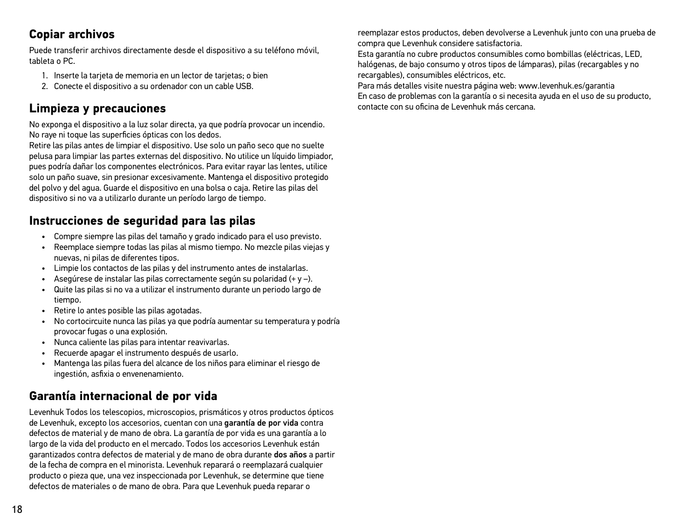### **Copiar archivos**

Puede transferir archivos directamente desde el dispositivo a su teléfono móvil, tableta o PC.

- 1. Inserte la tarjeta de memoria en un lector de tarjetas; o bien
- 2. Conecte el dispositivo a su ordenador con un cable USB.

### **Limpieza y precauciones**

No exponga el dispositivo a la luz solar directa, ya que podría provocar un incendio. No raye ni toque las superficies ópticas con los dedos.

Retire las pilas antes de limpiar el dispositivo. Use solo un paño seco que no suelte pelusa para limpiar las partes externas del dispositivo. No utilice un líquido limpiador, pues podría dañar los componentes electrónicos. Para evitar rayar las lentes, utilice solo un paño suave, sin presionar excesivamente. Mantenga el dispositivo protegido del polvo y del agua. Guarde el dispositivo en una bolsa o caja. Retire las pilas del dispositivo si no va a utilizarlo durante un período largo de tiempo.

### **Instrucciones de seguridad para las pilas**

- Compre siempre las pilas del tamaño y grado indicado para el uso previsto.
- Reemplace siempre todas las pilas al mismo tiempo. No mezcle pilas viejas y nuevas, ni pilas de diferentes tipos.
- Limpie los contactos de las pilas y del instrumento antes de instalarlas.
- Asegúrese de instalar las pilas correctamente según su polaridad (+ y –).
- Quite las pilas si no va a utilizar el instrumento durante un periodo largo de tiempo.
- Retire lo antes posible las pilas agotadas.
- No cortocircuite nunca las pilas ya que podría aumentar su temperatura y podría provocar fugas o una explosión.
- Nunca caliente las pilas para intentar reavivarlas.
- Recuerde apagar el instrumento después de usarlo.
- Mantenga las pilas fuera del alcance de los niños para eliminar el riesgo de ingestión, asfixia o envenenamiento.

### **Garantía internacional de por vida**

Levenhuk Todos los telescopios, microscopios, prismáticos y otros productos ópticos de Levenhuk, excepto los accesorios, cuentan con una garantía de por vida contra defectos de material y de mano de obra. La garantía de por vida es una garantía a lo largo de la vida del producto en el mercado. Todos los accesorios Levenhuk están garantizados contra defectos de material y de mano de obra durante dos años a partir de la fecha de compra en el minorista. Levenhuk reparará o reemplazará cualquier producto o pieza que, una vez inspeccionada por Levenhuk, se determine que tiene defectos de materiales o de mano de obra. Para que Levenhuk pueda reparar o

reemplazar estos productos, deben devolverse a Levenhuk junto con una prueba de compra que Levenhuk considere satisfactoria.

Esta garantía no cubre productos consumibles como bombillas (eléctricas, LED, halógenas, de bajo consumo y otros tipos de lámparas), pilas (recargables y no recargables), consumibles eléctricos, etc.

Para más detalles visite nuestra página web: www.levenhuk.es/garantia En caso de problemas con la garantía o si necesita ayuda en el uso de su producto, contacte con su oficina de Levenhuk más cercana.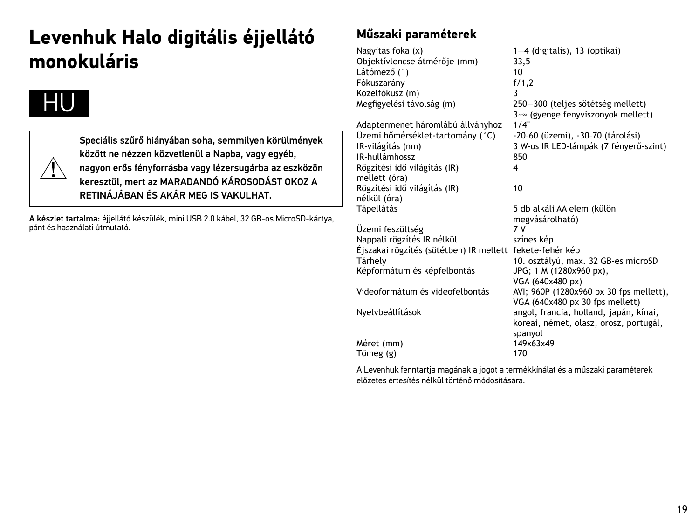# **Levenhuk Halo digitális éjjellátó monokuláris**





Speciális szűrő hiányában soha, semmilyen körülmények között ne nézzen közvetlenül a Napba, vagy egyéb, nagyon erős fényforrásba vagy lézersugárba az eszközön keresztül, mert az MARADANDÓ KÁROSODÁST OKOZ A RETINÁ JÁRAN ÉS AKÁR MEG IS VAKULHAT.

A készlet tartalma: éjjellátó készülék, mini USB 2.0 kábel, 32 GB-os MicroSD-kártya, pánt és használati útmutató.

### **Műszaki paraméterek**

Nagyítás foka (x) 1—4 (digitális), 13 (optikai)<br>Obiektívlencse átmérőie (mm) 33.5 Objektívlencse átmérője (mm) 33,<br>Látómező (°) 30, 10, 10 Látómező (°) 10 Fókuszarány f/<br>Közelfókusz (m) 3 Közelfókusz (m)<br>Megfigyelési távolság (m) 750-300 (teljes sötétség mellett) 3~∞ (gyenge fényviszonyok mellett)<br>1/4" Adaptermenet háromlábú állványhoz Üzemi hőmérséklet-tartomány (°C) -20–60 (üzemi), -30–70 (tárolási) 3 W-os IR LED-lámpák (7 fényerő-szint)<br>850  $IP$ -hullámhossz Rögzítési idő világítás (IR) mellett (óra) 4 Rögzítési idő világítás (IR) nélkül (óra)<br>Tápellátás 10 5 db alkáli AA elem (külön megvásárolható) Üzemi feszültség Nappali rögzítés IR nélkül színes kép Éjszakai rögzítés (sötétben) IR mellett fekete-fehér kép Tárhely 10. osztályú, max. 32 GB-es microSD<br>Képformátum és képfelbontás 196; 1 M (1280x960 px), Képformátum és képfelbontás VGA (640x480 px) Videoformátum és videofelbontás AVI; 960P (1280x960 px 30 fps mellett), VGA (640x480 px 30 fps mellett) Nyelvbeállítások angol, francia, holland, japán, kínai, koreai, német, olasz, orosz, portugál, spanyol<br>149x63x49  $Méret (mm)$ <br>Tömeg (g) 170 Tömeg  $(g)$ 

A Levenhuk fenntartja magának a jogot a termékkínálat és a műszaki paraméterek előzetes értesítés nélkül történő módosítására.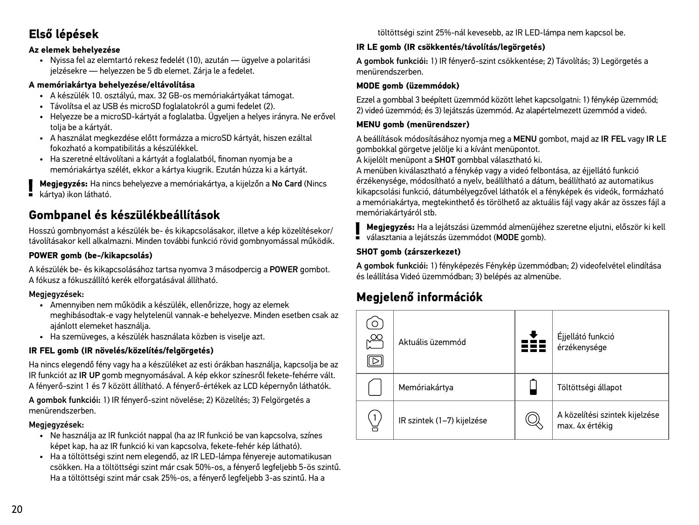### **Első lépések**

#### **Az elemek behelyezése**

• Nyissa fel az elemtartó rekesz fedelét (10), azután — ügyelve a polaritási jelzésekre — helyezzen be 5 db elemet. Zárja le a fedelet.

#### **A memóriakártya behelyezése/eltávolítása**

- A készülék 10. osztályú, max. 32 GB-os memóriakártyákat támogat.
- Távolítsa el az USB és microSD foglalatokról a gumi fedelet (2).
- Helyezze be a microSD-kártyát a foglalatba. Ügyeljen a helyes irányra. Ne erővel tolja be a kártyát.
- A használat megkezdése előtt formázza a microSD kártyát, hiszen ezáltal fokozható a kompatibilitás a készülékkel.
- Ha szeretné eltávolítani a kártyát a foglalatból, finoman nyomja be a memóriakártya szélét, ekkor a kártya kiugrik. Ezután húzza ki a kártyát.

**Megjegyzés:** Ha nincs behelyezve a memóriakártya, a kijelzőn a No Card (Nincs kártya) ikon látható.

### **Gombpanel és készülékbeállítások**

Hosszú gombnyomást a készülék be- és kikapcsolásakor, illetve a kép közelítésekor/ távolításakor kell alkalmazni. Minden további funkció rövid gombnyomással működik.

### **POWER gomb (be-/kikapcsolás)**

A készülék be- és kikapcsolásához tartsa nyomva 3 másodpercig a POWER gombot. A fókusz a fókuszállító kerék elforgatásával állítható.

#### Megjegyzések:

- Amennyiben nem működik a készülék, ellenőrizze, hogy az elemek meghibásodtak-e vagy helytelenül vannak-e behelyezve. Minden esetben csak az ajánlott elemeket használja.
- Ha szemüveges, a készülék használata közben is viselje azt.

#### **IR FEL gomb (IR növelés/közelítés/felgörgetés)**

Ha nincs elegendő fény vagy ha a készüléket az esti órákban használja, kapcsolja be az IR funkciót az IR UP gomb megnyomásával. A kép ekkor színesről fekete-fehérre vált. A fényerő-szint 1 és 7 között állítható. A fényerő-értékek az LCD képernyőn láthatók.

A gombok funkciói: 1) IR fényerő-szint növelése; 2) Közelítés; 3) Felgörgetés a menürendszerben.

#### Megjegyzések:

- Ne használja az IR funkciót nappal (ha az IR funkció be van kapcsolva, színes képet kap, ha az IR funkció ki van kapcsolva, fekete-fehér kép látható).
- Ha a töltöttségi szint nem elegendő, az IR LED-lámpa fényereje automatikusan csökken. Ha a töltöttségi szint már csak 50%-os, a fényerő legfeljebb 5-ös szintű. Ha a töltöttségi szint már csak 25%-os, a fényerő legfeljebb 3-as szintű. Ha a

töltöttségi szint 25%-nál kevesebb, az IR LED-lámpa nem kapcsol be.

### **IR LE gomb (IR csökkentés/távolítás/legörgetés)**

A gombok funkciói: 1) IR fényerő-szint csökkentése; 2) Távolítás; 3) Legörgetés a menürendszerben.

### **MODE gomb (üzemmódok)**

Ezzel a gombbal 3 beépített üzemmód között lehet kapcsolgatni: 1) fénykép üzemmód; 2) videó üzemmód; és 3) lejátszás üzemmód. Az alapértelmezett üzemmód a videó.

### **MENU gomb (menürendszer)**

A beállítások módosításához nyomja meg a MENU gombot, majd az IR FEL vagy IR LE gombokkal görgetve jelölje ki a kívánt menüpontot.

A kijelölt menüpont a SHOT gombbal választható ki.

A menüben kiválasztható a fénykép vagy a videó felbontása, az éjjellátó funkció érzékenysége, módosítható a nyelv, beállítható a dátum, beállítható az automatikus kikapcsolási funkció, dátumbélyegzővel láthatók el a fényképek és videók, formázható a memóriakártya, megtekinthető és törölhető az aktuális fájl vagy akár az összes fájl a memóriakártyáról stb.

**Megjegyzés:** Ha a lejátszási üzemmód almenüjéhez szeretne eljutni, először ki kell választania a leiátszás üzemmódot (MODE gomb).

#### **SHOT gomb (zárszerkezet)**

A gombok funkciói: 1) fényképezés Fénykép üzemmódban; 2) videofelvétel elindítása és leállítása Videó üzemmódban; 3) belépés az almenübe.

### **Megjelenő információk**

| $\alpha$<br>⊳ | Aktuális üzemmód           | Éjjellátó funkció<br>érzékenysége                 |
|---------------|----------------------------|---------------------------------------------------|
|               | Memóriakártya              | Töltöttségi állapot                               |
|               | IR szintek (1-7) kijelzése | A közelítési szintek kijelzése<br>max. 4x értékig |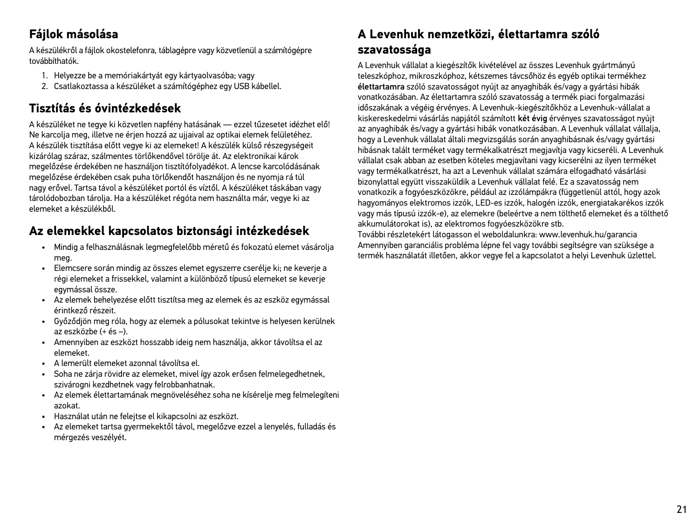### **Fájlok másolása**

A készülékről a fájlok okostelefonra, táblagépre vagy közvetlenül a számítógépre továbbíthatók.

- 1. Helyezze be a memóriakártyát egy kártyaolvasóba; vagy
- 2. Csatlakoztassa a készüléket a számítógéphez egy USB kábellel.

### **Tisztítás és óvintézkedések**

A készüléket ne tegye ki közvetlen napfény hatásának — ezzel tűzesetet idézhet elő! Ne karcolja meg, illetve ne érjen hozzá az ujjaival az optikai elemek felületéhez. A készülék tisztítása előtt vegye ki az elemeket! A készülék külső részegységeit kizárólag száraz, szálmentes törlőkendővel törölje át. Az elektronikai károk megelőzése érdekében ne használjon tisztítófolyadékot. A lencse karcolódásának megelőzése érdekében csak puha törlőkendőt használjon és ne nyomja rá túl nagy erővel. Tartsa távol a készüléket portól és víztől. A készüléket táskában vagy tárolódobozban tárolja. Ha a készüléket régóta nem használta már, vegye ki az elemeket a készülékből.

### **Az elemekkel kapcsolatos biztonsági intézkedések**

- Mindig a felhasználásnak legmegfelelőbb méretű és fokozatú elemet vásárolja meg.
- Elemcsere során mindig az összes elemet egyszerre cserélje ki; ne keverje a régi elemeket a frissekkel, valamint a különböző típusú elemeket se keverje egymással össze.
- Az elemek behelyezése előtt tisztítsa meg az elemek és az eszköz egymással érintkező részeit.
- Győződjön meg róla, hogy az elemek a pólusokat tekintve is helyesen kerülnek az eszközbe (+ és –).
- Amennyiben az eszközt hosszabb ideig nem használja, akkor távolítsa el az elemeket.
- A lemerült elemeket azonnal távolítsa el.
- Soha ne zárja rövidre az elemeket, mivel így azok erősen felmelegedhetnek, szivárogni kezdhetnek vagy felrobbanhatnak.
- Az elemek élettartamának megnöveléséhez soha ne kísérelje meg felmelegíteni azokat.
- Használat után ne felejtse el kikapcsolni az eszközt.
- Az elemeket tartsa gyermekektől távol, megelőzve ezzel a lenyelés, fulladás és mérgezés veszélyét.

### **A Levenhuk nemzetközi, élettartamra szóló szavatossága**

A Levenhuk vállalat a kiegészítők kivételével az összes Levenhuk gyártmányú teleszkóphoz, mikroszkóphoz, kétszemes távcsőhöz és egyéb optikai termékhez élettartamra szóló szavatosságot nyújt az anyaghibák és/vagy a gyártási hibák vonatkozásában. Az élettartamra szóló szavatosság a termék piaci forgalmazási időszakának a végéig érvényes. A Levenhuk-kiegészítőkhöz a Levenhuk-vállalat a kiskereskedelmi vásárlás napjától számított két évig érvényes szavatosságot nyújt az anyaghibák és/vagy a gyártási hibák vonatkozásában. A Levenhuk vállalat vállalja, hogy a Levenhuk vállalat általi megvizsgálás során anyaghibásnak és/vagy gyártási hibásnak talált terméket vagy termékalkatrészt megjavítja vagy kicseréli. A Levenhuk vállalat csak abban az esetben köteles megjavítani vagy kicserélni az ilyen terméket vagy termékalkatrészt, ha azt a Levenhuk vállalat számára elfogadható vásárlási bizonylattal együtt visszaküldik a Levenhuk vállalat felé. Ez a szavatosság nem vonatkozik a fogyóeszközökre, például az izzólámpákra (függetlenül attól, hogy azok hagyományos elektromos izzók, LED-es izzók, halogén izzók, energiatakarékos izzók vagy más típusú izzók-e), az elemekre (beleértve a nem tölthető elemeket és a tölthető akkumulátorokat is), az elektromos fogyóeszközökre stb.

További részletekért látogasson el weboldalunkra: www.levenhuk.hu/garancia Amennyiben garanciális probléma lépne fel vagy további segítségre van szüksége a termék használatát illetően, akkor vegye fel a kapcsolatot a helyi Levenhuk üzlettel.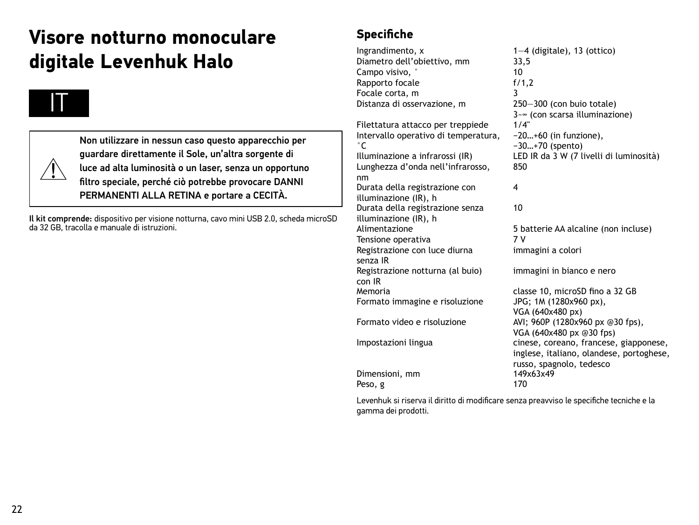# **Visore notturno monoculare digitale Levenhuk Halo**



Non utilizzare in nessun caso questo apparecchio per guardare direttamente il Sole, un'altra sorgente di luce ad alta luminosità o un laser, senza un opportuno filtro speciale, perché ciò potrebbe provocare DANNI PERMANENTI ALLA RETINA e portare a CECITÀ.

Il kit comprende: dispositivo per visione notturna, cavo mini USB 2.0, scheda microSD da 32 GB, tracolla e manuale di istruzioni.

### **Specifiche**

Ingrandimento,  $x = 1 - 4$  (digitale), 13 (ottico)<br>Diametro dell'obiettivo, mm  $33.5$ Diametro dell'obiettivo, mm 33,<br>Campo visivo Campo visivo, ° 10<br>Rapporto focale 1999 11:20 Rapporto focale Focale corta, m<br>Distanza di osservazione, m 3750–300 (con bujo totale) Distanza di osservazione, m  $3-\infty$  (con scarsa illuminazione)<br> $1/4$ " Filettatura attacco per treppiede Intervallo operativo di temperatura, °C<br>Illuminazione a infrarossi (IR) −20…+60 (in funzione), −30…+70 (spento) LED IR da 3 W (7 livelli di luminosità) Lunghezza d'onda nell'infrarosso, nm 850 Durata della registrazione con illuminazione (IR), h 4 Durata della registrazione senza illuminazione (IR), h 10 5 batterie AA alcaline (non incluse) Tensione operativa 7 V Registrazione con luce diurna senza IR immagini a colori Registrazione notturna (al buio) con IR<br>Memoria immagini in bianco e nero Formato immagine e risoluzione JPG; 1M (1280x960 px), VGA (640x480 px) Formato video e risoluzione AVI: 960P (1280x960 px @30 fps), Impostazioni lingua cinese, coreano, francese, giapponese,

Dimensioni, mm Peso, g 170

classe 10, microSD fino a 32 GB VGA (640x480 px @30 fps) inglese, italiano, olandese, portoghese, russo, spagnolo, tedesco<br>149x63x49

Levenhuk si riserva il diritto di modificare senza preavviso le specifiche tecniche e la gamma dei prodotti.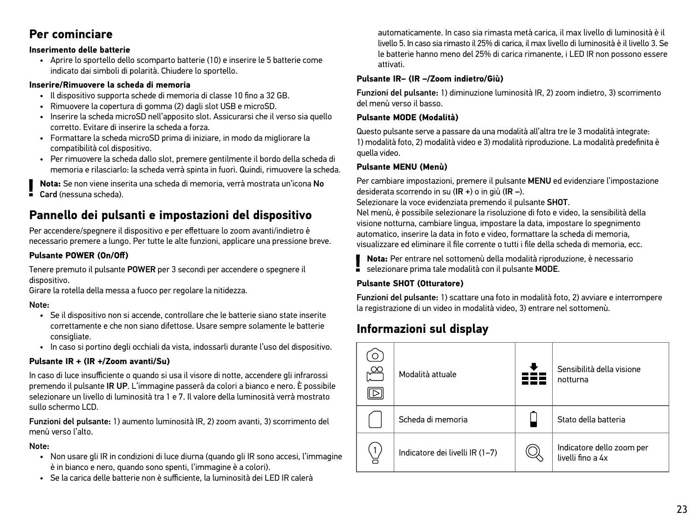### **Per cominciare**

#### **Inserimento delle batterie**

• Aprire lo sportello dello scomparto batterie (10) e inserire le 5 batterie come indicato dai simboli di polarità. Chiudere lo sportello.

#### **Inserire/Rimuovere la scheda di memoria**

- Il dispositivo supporta schede di memoria di classe 10 fino a 32 GB.
- Rimuovere la copertura di gomma (2) dagli slot USB e microSD.
- Inserire la scheda microSD nell'apposito slot. Assicurarsi che il verso sia quello corretto. Evitare di inserire la scheda a forza.
- Formattare la scheda microSD prima di iniziare, in modo da migliorare la compatibilità col dispositivo.
- Per rimuovere la scheda dallo slot, premere gentilmente il bordo della scheda di memoria e rilasciarlo: la scheda verrà spinta in fuori. Quindi, rimuovere la scheda.

**Nota:** Se non viene inserita una scheda di memoria, verrà mostrata un'icona No Card (nessuna scheda).

### **Pannello dei pulsanti e impostazioni del dispositivo**

Per accendere/spegnere il dispositivo e per effettuare lo zoom avanti/indietro è necessario premere a lungo. Per tutte le alte funzioni, applicare una pressione breve.

### **Pulsante POWER (On/Off)**

Tenere premuto il pulsante POWER per 3 secondi per accendere o spegnere il dispositivo.

Girare la rotella della messa a fuoco per regolare la nitidezza.

### Note:

- Se il dispositivo non si accende, controllare che le batterie siano state inserite correttamente e che non siano difettose. Usare sempre solamente le batterie consigliate.
- In caso si portino degli occhiali da vista, indossarli durante l'uso del dispositivo.

### **Pulsante IR + (IR +/Zoom avanti/Su)**

In caso di luce insufficiente o quando si usa il visore di notte, accendere gli infrarossi premendo il pulsante IR UP. L'immagine passerà da colori a bianco e nero. È possibile selezionare un livello di luminosità tra 1 e 7. Il valore della luminosità verrà mostrato sullo schermo LCD.

Funzioni del pulsante: 1) aumento luminosità IR, 2) zoom avanti, 3) scorrimento del menù verso l'alto.

#### Note:

- Non usare gli IR in condizioni di luce diurna (quando gli IR sono accesi, l'immagine è in bianco e nero, quando sono spenti, l'immagine è a colori).
- Se la carica delle batterie non è sufficiente, la luminosità dei LED IR calerà

automaticamente. In caso sia rimasta metà carica, il max livello di luminosità è il livello 5. In caso sia rimasto il 25% di carica, il max livello di luminosità è il livello 3. Se le batterie hanno meno del 25% di carica rimanente, i LED IR non possono essere attivati.

#### **Pulsante IR– (IR –/Zoom indietro/Giù)**

Funzioni del pulsante: 1) diminuzione luminosità IR, 2) zoom indietro, 3) scorrimento del menù verso il basso.

#### **Pulsante MODE (Modalità)**

Questo pulsante serve a passare da una modalità all'altra tre le 3 modalità integrate: 1) modalità foto, 2) modalità video e 3) modalità riproduzione. La modalità predefinita è quella video.

#### **Pulsante MENU (Menù)**

Per cambiare impostazioni, premere il pulsante MENU ed evidenziare l'impostazione desiderata scorrendo in su (IR +) o in giù (IR –).

Selezionare la voce evidenziata premendo il pulsante SHOT.

Nel menù, è possibile selezionare la risoluzione di foto e video, la sensibilità della visione notturna, cambiare lingua, impostare la data, impostare lo spegnimento automatico, inserire la data in foto e video, formattare la scheda di memoria, visualizzare ed eliminare il file corrente o tutti i file della scheda di memoria, ecc.

**Nota:** Per entrare nel sottomenù della modalità riproduzione, è necessario

selezionare prima tale modalità con il pulsante MODE.

### **Pulsante SHOT (Otturatore)**

Funzioni del pulsante: 1) scattare una foto in modalità foto, 2) avviare e interrompere la registrazione di un video in modalità video, 3) entrare nel sottomenù.

### **Informazioni sul display**

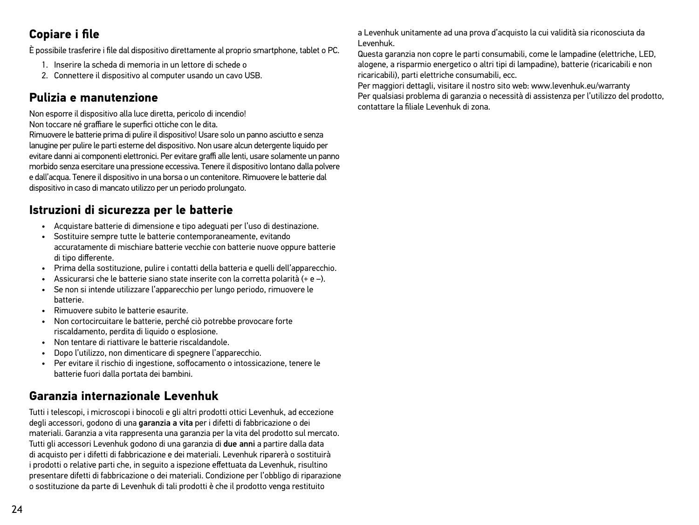### **Copiare i file**

È possibile trasferire i file dal dispositivo direttamente al proprio smartphone, tablet o PC.

- 1. Inserire la scheda di memoria in un lettore di schede o
- 2. Connettere il dispositivo al computer usando un cavo USB.

### **Pulizia e manutenzione**

Non esporre il dispositivo alla luce diretta, pericolo di incendio!

Non toccare né graffiare le superfici ottiche con le dita.

Rimuovere le batterie prima di pulire il dispositivo! Usare solo un panno asciutto e senza lanugine per pulire le parti esterne del dispositivo. Non usare alcun detergente liquido per evitare danni ai componenti elettronici. Per evitare graffi alle lenti, usare solamente un panno morbido senza esercitare una pressione eccessiva. Tenere il dispositivo lontano dalla polvere e dall'acqua. Tenere il dispositivo in una borsa o un contenitore. Rimuovere le batterie dal dispositivo in caso di mancato utilizzo per un periodo prolungato.

### **Istruzioni di sicurezza per le batterie**

- Acquistare batterie di dimensione e tipo adeguati per l'uso di destinazione.
- Sostituire sempre tutte le batterie contemporaneamente, evitando accuratamente di mischiare batterie vecchie con batterie nuove oppure batterie di tipo differente.
- Prima della sostituzione, pulire i contatti della batteria e quelli dell'apparecchio.
- Assicurarsi che le batterie siano state inserite con la corretta polarità (+ e –).
- Se non si intende utilizzare l'apparecchio per lungo periodo, rimuovere le batterie.
- Rimuovere subito le batterie esaurite.
- Non cortocircuitare le batterie, perché ciò potrebbe provocare forte riscaldamento, perdita di liquido o esplosione.
- Non tentare di riattivare le batterie riscaldandole.
- Dopo l'utilizzo, non dimenticare di spegnere l'apparecchio.
- Per evitare il rischio di ingestione, soffocamento o intossicazione, tenere le batterie fuori dalla portata dei bambini.

### **Garanzia internazionale Levenhuk**

Tutti i telescopi, i microscopi i binocoli e gli altri prodotti ottici Levenhuk, ad eccezione degli accessori, godono di una garanzia a vita per i difetti di fabbricazione o dei materiali. Garanzia a vita rappresenta una garanzia per la vita del prodotto sul mercato. Tutti gli accessori Levenhuk godono di una garanzia di due anni a partire dalla data di acquisto per i difetti di fabbricazione e dei materiali. Levenhuk riparerà o sostituirà i prodotti o relative parti che, in seguito a ispezione effettuata da Levenhuk, risultino presentare difetti di fabbricazione o dei materiali. Condizione per l'obbligo di riparazione o sostituzione da parte di Levenhuk di tali prodotti è che il prodotto venga restituito

a Levenhuk unitamente ad una prova d'acquisto la cui validità sia riconosciuta da Levenhuk.

Questa garanzia non copre le parti consumabili, come le lampadine (elettriche, LED, alogene, a risparmio energetico o altri tipi di lampadine), batterie (ricaricabili e non ricaricabili), parti elettriche consumabili, ecc.

Per maggiori dettagli, visitare il nostro sito web: www.levenhuk.eu/warranty Per qualsiasi problema di garanzia o necessità di assistenza per l'utilizzo del prodotto, contattare la filiale Levenhuk di zona.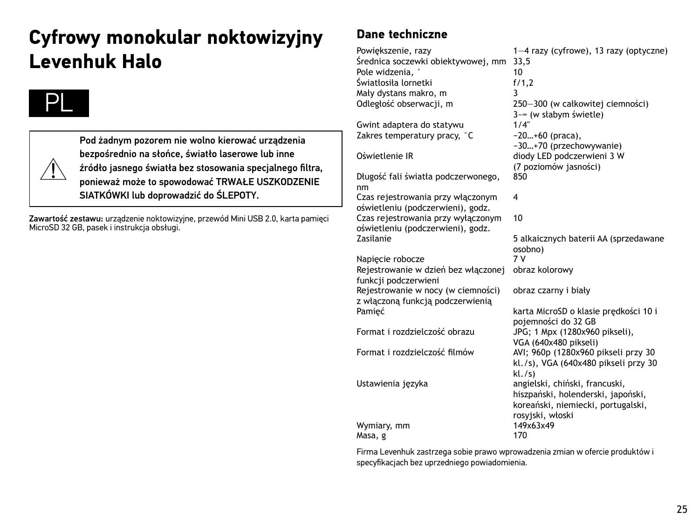# **Cyfrowy monokular noktowizyjny Levenhuk Halo**



Pod żadnym pozorem nie wolno kierować urządzenia bezpośrednio na słońce, światło laserowe lub inne źródło jasnego światła bez stosowania specjalnego filtra, ponieważ może to spowodować TRWAŁE USZKODZENIE SIATKÓWKI lub doprowadzić do ŚLEPOTY.

Zawartość zestawu: urządzenie noktowizyjne, przewód Mini USB 2.0, karta pamięci MicroSD 32 GB, pasek i instrukcja obsługi.

### **Dane techniczne**

Powiększenie, razy 1—4 razy (cyfrowe), 13 razy (optyczne) Średnica soczewki obiektywowej, mm 33,5 Pole widzenia, ° 10<br>Światłosiła lornetki 1999 r. l. f. f. 1.2 Światłosiła lornetki Mały dystans makro, m<br>Odległość obserwacji, m 250-300 (w całkowitej ciemności)  $3-\infty$  (w słabym świetle)<br>1/4" Gwint adaptera do statywu Zakres temperatury pracy, °C −20…+60 (praca), −30…+70 (przechowywanie) Oświetlenie IR diody LED podczerwieni 3 W (7 poziomów jasności) Długość fali światła podczerwonego, nm 850 Czas rejestrowania przy włączonym oświetleniu (podczerwieni), godz. 4 Czas rejestrowania przy wyłączonym oświetleniu (podczerwieni), godz.<br>Zasilanie 10 5 alkaicznych baterii AA (sprzedawane osobno)<br>7 V Napiecie robocze Rejestrowanie w dzień bez włączonej funkcji podczerwieni obraz kolorowy Rejestrowanie w nocy (w ciemności) z włączoną funkcją podczerwienią obraz czarny i biały Pamięć karta MicroSD o klasie prędkości 10 i pojemności do 32 GB Format i rozdzielczość obrazu JPG; 1 Mpx (1280x960 pikseli), VGA (640x480 pikseli) Format i rozdzielczość filmów AVI; 960p (1280x960 pikseli przy 30 kl./s), VGA (640x480 pikseli przy 30 kl./s) Ustawienia języka angielski, chiński, francuski, hiszpański, holenderski, japoński, koreański, niemiecki, portugalski, rosyjski, włoski Wymiary, mm Masa, g 170

Firma Levenhuk zastrzega sobie prawo wprowadzenia zmian w ofercie produktów i specyfikacjach bez uprzedniego powiadomienia.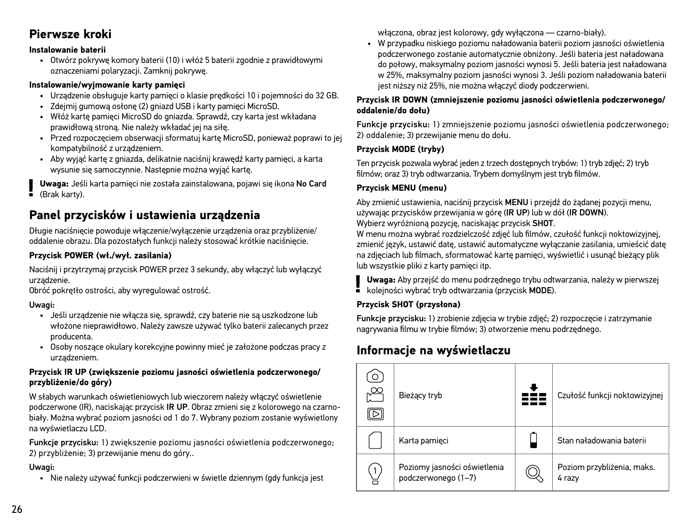### **Pierwsze kroki**

#### **Instalowanie baterii**

• Otwórz pokrywę komory baterii (10) i włóż 5 baterii zgodnie z prawidłowymi oznaczeniami polaryzacji. Zamknij pokrywę.

#### **Instalowanie/wyjmowanie karty pamięci**

- Urządzenie obsługuje karty pamięci o klasie prędkości 10 i pojemności do 32 GB.
- Zdejmij gumową osłonę (2) gniazd USB i karty pamięci MicroSD.
- Włóż kartę pamięci MicroSD do gniazda. Sprawdź, czy karta jest wkładana prawidłową stroną. Nie należy wkładać jej na siłę.
- Przed rozpoczęciem obserwacji sformatuj kartę MicroSD, ponieważ poprawi to jej kompatybilność z urządzeniem.
- Aby wyjąć kartę z gniazda, delikatnie naciśnij krawędź karty pamięci, a karta wysunie się samoczynnie. Następnie można wyjąć kartę.

**Uwaga:** Jeśli karta pamięci nie została zainstalowana, pojawi się ikona No Card (Brak karty).

### **Panel przycisków i ustawienia urządzenia**

Długie naciśnięcie powoduje włączenie/wyłączenie urządzenia oraz przybliżenie/ oddalenie obrazu. Dla pozostałych funkcji należy stosować krótkie naciśnięcie.

### **Przycisk POWER (wł./wył. zasilania)**

Naciśnij i przytrzymaj przycisk POWER przez 3 sekundy, aby włączyć lub wyłączyć urządzenie.

Obróć pokrętło ostrości, aby wyregulować ostrość.

### Uwagi:

- Jeśli urządzenie nie włącza się, sprawdź, czy baterie nie są uszkodzone lub włożone nieprawidłowo. Należy zawsze używać tylko baterii zalecanych przez producenta.
- Osoby noszące okulary korekcyjne powinny mieć je założone podczas pracy z urządzeniem.

### **Przycisk IR UP (zwiększenie poziomu jasności oświetlenia podczerwonego/ przybliżenie/do góry)**

W słabych warunkach oświetleniowych lub wieczorem należy włączyć oświetlenie podczerwone (IR), naciskając przycisk IR UP. Obraz zmieni się z kolorowego na czarnobiały. Można wybrać poziom jasności od 1 do 7. Wybrany poziom zostanie wyświetlony na wyświetlaczu LCD.

Funkcje przycisku: 1) zwiększenie poziomu jasności oświetlenia podczerwonego; 2) przybliżenie; 3) przewijanie menu do góry..

### Uwagi:

• Nie należy używać funkcji podczerwieni w świetle dziennym (gdy funkcja jest

włączona, obraz jest kolorowy, gdy wyłączona — czarno-biały).

• W przypadku niskiego poziomu naładowania baterii poziom jasności oświetlenia podczerwonego zostanie automatycznie obniżony. Jeśli bateria jest naładowana do połowy, maksymalny poziom jasności wynosi 5. Jeśli bateria jest naładowana w 25%, maksymalny poziom jasności wynosi 3. Jeśli poziom naładowania baterii jest niższy niż 25%, nie można włączyć diody podczerwieni.

### **Przycisk IR DOWN (zmniejszenie poziomu jasności oświetlenia podczerwonego/ oddalenie/do dołu)**

Funkcje przycisku: 1) zmniejszenie poziomu jasności oświetlenia podczerwonego; 2) oddalenie; 3) przewijanie menu do dołu.

### **Przycisk MODE (tryby)**

Ten przycisk pozwala wybrać jeden z trzech dostępnych trybów: 1) tryb zdjęć; 2) tryb filmów; oraz 3) tryb odtwarzania. Trybem domyślnym jest tryb filmów.

### **Przycisk MENU (menu)**

Aby zmienić ustawienia, naciśnij przycisk MENU i przejdź do żądanej pozycii menu, używając przycisków przewijania w górę (IR UP) lub w dół (IR DOWN).

Wybierz wyróżnioną pozycję, naciskając przycisk SHOT.

W menu można wybrać rozdzielczość zdieć lub filmów, czułość funkcji noktowizyjnej, zmienić język, ustawić datę, ustawić automatyczne wyłączanie zasilania, umieścić datę na zdjęciach lub filmach, sformatować kartę pamięci, wyświetlić i usunąć bieżący plik lub wszystkie pliki z karty pamięci itp.

**Uwaga:** Aby przejść do menu podrzędnego trybu odtwarzania, należy w pierwszej kolejności wybrać tryb odtwarzania (przycisk MODE).

### **Przycisk SHOT (przysłona)**

Funkcje przycisku: 1) zrobienie zdjęcia w trybie zdjęć; 2) rozpoczęcie i zatrzymanie nagrywania filmu w trybie filmów; 3) otworzenie menu podrzędnego.

### **Informacje na wyświetlaczu**

| Bieżący tryb                                        | Czułość funkcji noktowizyjnej        |
|-----------------------------------------------------|--------------------------------------|
| Karta pamięci                                       | Stan naładowania baterii             |
| Poziomy jasności oświetlenia<br>podczerwonego (1-7) | Poziom przybliżenia, maks.<br>4 razy |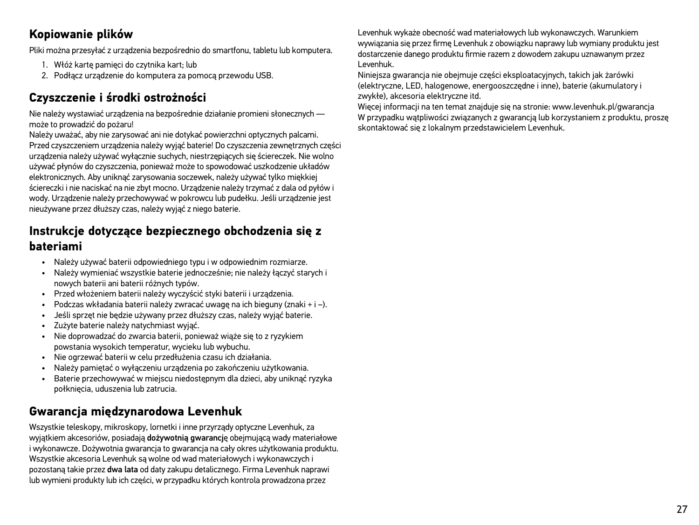### **Kopiowanie plików**

Pliki można przesyłać z urządzenia bezpośrednio do smartfonu, tabletu lub komputera.

- 1. Włóż kartę pamięci do czytnika kart; lub
- 2. Podłącz urządzenie do komputera za pomocą przewodu USB.

### **Czyszczenie i środki ostrożności**

Nie należy wystawiać urządzenia na bezpośrednie działanie promieni słonecznych może to prowadzić do pożaru!

Należy uważać, aby nie zarysować ani nie dotykać powierzchni optycznych palcami. Przed czyszczeniem urządzenia należy wyjąć baterie! Do czyszczenia zewnętrznych części urządzenia należy używać wyłącznie suchych, niestrzępiących się ściereczek. Nie wolno używać płynów do czyszczenia, ponieważ może to spowodować uszkodzenie układów elektronicznych. Aby uniknąć zarysowania soczewek, należy używać tylko miękkiej ściereczki i nie naciskać na nie zbyt mocno. Urządzenie należy trzymać z dala od pyłów i wody. Urządzenie należy przechowywać w pokrowcu lub pudełku. Jeśli urządzenie jest nieużywane przez dłuższy czas, należy wyjąć z niego baterie.

### **Instrukcje dotyczące bezpiecznego obchodzenia się z bateriami**

- Należy używać baterii odpowiedniego typu i w odpowiednim rozmiarze.
- Należy wymieniać wszystkie baterie jednocześnie: nie należy łączyć starych i nowych baterii ani baterii różnych typów.
- Przed włożeniem baterii należy wyczyścić styki baterii i urządzenia.
- Podczas wkładania baterii należy zwracać uwagę na ich bieguny (znaki + i –).
- Jeśli sprzęt nie będzie używany przez dłuższy czas, należy wyjąć baterie.
- Zużyte baterie należy natychmiast wyjąć.
- Nie doprowadzać do zwarcia baterii, ponieważ wiąże się to z ryzykiem powstania wysokich temperatur, wycieku lub wybuchu.
- Nie ogrzewać baterii w celu przedłużenia czasu ich działania.
- Należy pamiętać o wyłączeniu urządzenia po zakończeniu użytkowania.
- Baterie przechowywać w miejscu niedostępnym dla dzieci, aby uniknąć ryzyka połknięcia, uduszenia lub zatrucia.

### **Gwarancja międzynarodowa Levenhuk**

Wszystkie teleskopy, mikroskopy, lornetki i inne przyrządy optyczne Levenhuk, za wyjątkiem akcesoriów, posiadają dożywotnią gwarancję obejmującą wady materiałowe i wykonawcze. Dożywotnia gwarancja to gwarancja na cały okres użytkowania produktu. Wszystkie akcesoria Levenhuk są wolne od wad materiałowych i wykonawczych i pozostaną takie przez dwa lata od daty zakupu detalicznego. Firma Levenhuk naprawi lub wymieni produkty lub ich części, w przypadku których kontrola prowadzona przez

Levenhuk wykaże obecność wad materiałowych lub wykonawczych. Warunkiem wywiązania się przez firmę Levenhuk z obowiązku naprawy lub wymiany produktu jest dostarczenie danego produktu firmie razem z dowodem zakupu uznawanym przez Levenhuk.

Niniejsza gwarancja nie obejmuje części eksploatacyjnych, takich jak żarówki (elektryczne, LED, halogenowe, energooszczędne i inne), baterie (akumulatory i zwykłe), akcesoria elektryczne itd.

Więcej informacji na ten temat znajduje się na stronie: www.levenhuk.pl/gwarancja W przypadku wątpliwości związanych z gwarancją lub korzystaniem z produktu, proszę skontaktować się z lokalnym przedstawicielem Levenhuk.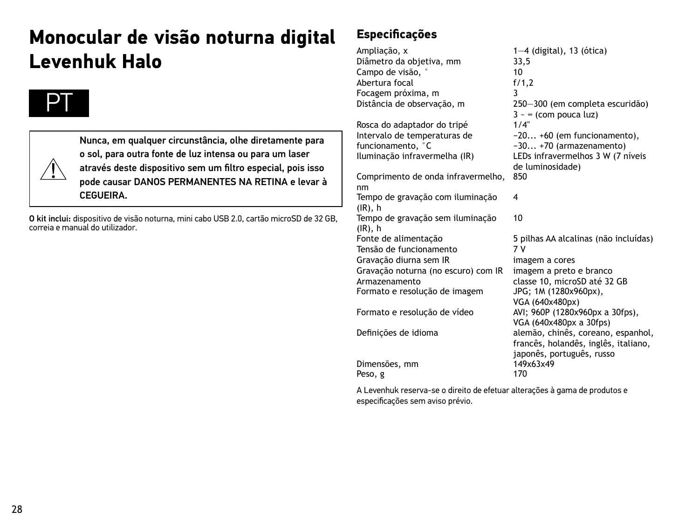# **Monocular de visão noturna digital Levenhuk Halo**





Nunca, em qualquer circunstância, olhe diretamente para o sol, para outra fonte de luz intensa ou para um laser através deste dispositivo sem um filtro especial, pois isso pode causar DANOS PERMANENTES NA RETINA e levar à **CEGUEIRA** 

O kit inclui: dispositivo de visão noturna, mini cabo USB 2.0, cartão microSD de 32 GB, correia e manual do utilizador.

### **Especificações**

Ampliação, x 1—4 (digital), 13 (ótica)<br>Diâmetro da obietiva. mm 33.5 Diâmetro da objetiva, mm 33,5 Campo de visão, ° 10 Abertura focal Focagem próxima, m 3 250-300 (em completa escuridão)  $3 \sim \infty$  (com pouca luz)<br> $1/4$ " Rosca do adaptador do tripé Intervalo de temperaturas de funcionamento, <sup>°</sup>C<br>Iluminacão infravermelha (IR) −20... +60 (em funcionamento), −30... +70 (armazenamento) LEDs infravermelhos 3 W (7 níveis de luminosidade) Comprimento de onda infravermelho, nm 850 Tempo de gravação com iluminação (IR), h 4 Tempo de gravação sem iluminação (IR), h<br>Fonte de alimentação 10 5 pilhas AA alcalinas (não incluídas)<br>7 V Tensão de funcionamento Gravação diurna sem IR imagem a cores Gravação noturna (no escuro) com IR imagem a preto e branco classe 10, microSD até 32 GB Formato e resolução de imagem JPG; 1M (1280x960px), VGA (640x480px) Formato e resolução de vídeo AVI; 960P (1280x960px a 30fps), VGA (640x480px a 30fps) Definições de idioma alemão, chinês, coreano, espanhol, francês, holandês, inglês, italiano, japonês, português, russo<br>149x63x49 Dimensões, mm 1493<br>Peso *a* 170 Peso, g

A Levenhuk reserva-se o direito de efetuar alterações à gama de produtos e especificações sem aviso prévio.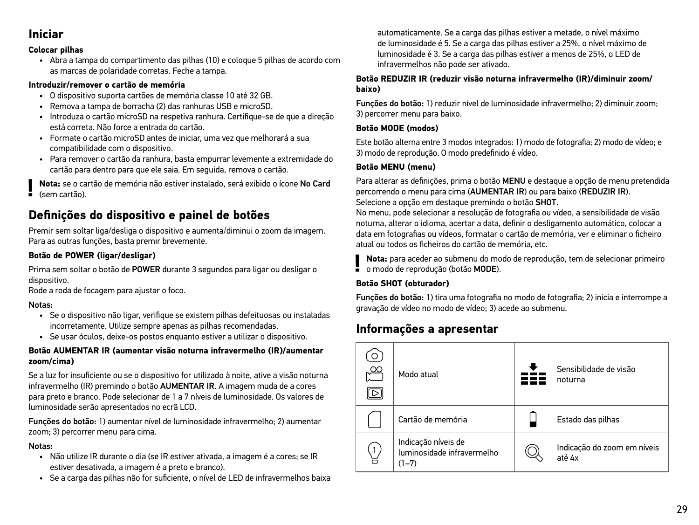### **Iniciar**

#### **Colocar pilhas**

• Abra a tampa do compartimento das pilhas (10) e coloque 5 pilhas de acordo com as marcas de polaridade corretas. Feche a tampa.

#### **Introduzir/remover o cartão de memória**

- O dispositivo suporta cartões de memória classe 10 até 32 GB.
- Remova a tampa de borracha (2) das ranhuras USB e microSD.
- Introduza o cartão microSD na respetiva ranhura. Certifique-se de que a direção está correta. Não force a entrada do cartão.
- Formate o cartão microSD antes de iniciar, uma vez que melhorará a sua compatibilidade com o dispositivo.
- Para remover o cartão da ranhura, basta empurrar levemente a extremidade do cartão para dentro para que ele saia. Em seguida, remova o cartão.

**Nota:** se o cartão de memória não estiver instalado, será exibido o ícone No Card (sem cartão).

### **Definições do dispositivo e painel de botões**

Premir sem soltar liga/desliga o dispositivo e aumenta/diminui o zoom da imagem. Para as outras funções, basta premir brevemente.

#### **Botão de POWER (ligar/desligar)**

Prima sem soltar o botão de POWER durante 3 segundos para ligar ou desligar o dispositivo.

Rode a roda de focagem para ajustar o foco.

#### Notas:

- Se o dispositivo não ligar, verifique se existem pilhas defeituosas ou instaladas incorretamente. Utilize sempre apenas as pilhas recomendadas.
- Se usar óculos, deixe-os postos enquanto estiver a utilizar o dispositivo.

#### **Botão AUMENTAR IR (aumentar visão noturna infravermelho (IR)/aumentar zoom/cima)**

Se a luz for insuficiente ou se o dispositivo for utilizado à noite, ative a visão noturna infravermelho (IR) premindo o botão AUMENTAR IR. A imagem muda de a cores para preto e branco. Pode selecionar de 1 a 7 níveis de luminosidade. Os valores de luminosidade serão apresentados no ecrã LCD.

Funções do botão: 1) aumentar nível de luminosidade infravermelho; 2) aumentar zoom; 3) percorrer menu para cima.

#### Notas:

- Não utilize IR durante o dia (se IR estiver ativada, a imagem é a cores; se IR estiver desativada, a imagem é a preto e branco).
- Se a carga das pilhas não for suficiente, o nível de LED de infravermelhos baixa

automaticamente. Se a carga das pilhas estiver a metade, o nível máximo de luminosidade é 5. Se a carga das pilhas estiver a 25%, o nível máximo de luminosidade é 3. Se a carga das pilhas estiver a menos de 25%, o LED de infravermelhos não pode ser ativado.

#### **Botão REDUZIR IR (reduzir visão noturna infravermelho (IR)/diminuir zoom/ baixo)**

Funções do botão: 1) reduzir nível de luminosidade infravermelho; 2) diminuir zoom; 3) percorrer menu para baixo.

#### **Botão MODE (modos)**

Este botão alterna entre 3 modos integrados: 1) modo de fotografia; 2) modo de vídeo; e 3) modo de reprodução. O modo predefinido é vídeo.

#### **Botão MENU (menu)**

Para alterar as definições, prima o botão MENU e destaque a opção de menu pretendida percorrendo o menu para cima (AUMENTAR IR) ou para baixo (REDUZIR IR). Selecione a opção em destaque premindo o botão SHOT.

No menu, pode selecionar a resolução de fotografia ou vídeo, a sensibilidade de visão noturna, alterar o idioma, acertar a data, definir o desligamento automático, colocar a data em fotografias ou vídeos, formatar o cartão de memória, ver e eliminar o ficheiro atual ou todos os ficheiros do cartão de memória, etc.

**Nota:** para aceder ao submenu do modo de reprodução, tem de selecionar primeiro o modo de reprodução (botão MODE).

#### **Botão SHOT (obturador)**

Funções do botão: 1) tira uma fotografia no modo de fotografia; 2) inicia e interrompe a gravação de vídeo no modo de vídeo; 3) acede ao submenu.

### **Informações a apresentar**

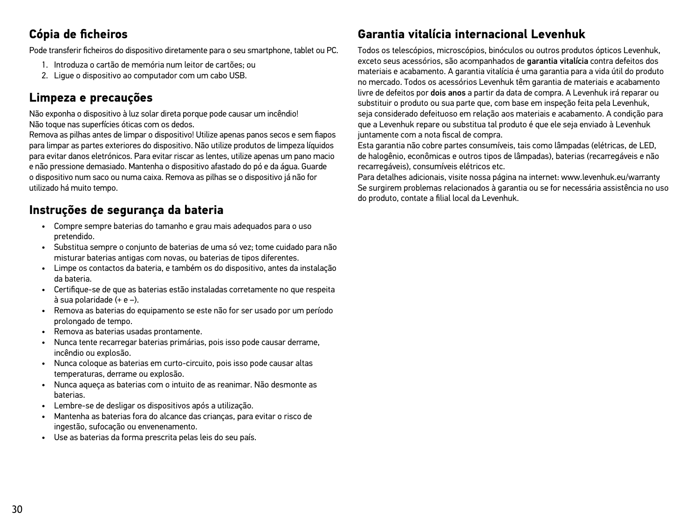### **Cópia de ficheiros**

Pode transferir ficheiros do dispositivo diretamente para o seu smartphone, tablet ou PC.

- 1. Introduza o cartão de memória num leitor de cartões; ou
- 2. Ligue o dispositivo ao computador com um cabo USB.

### **Limpeza e precauções**

Não exponha o dispositivo à luz solar direta porque pode causar um incêndio! Não toque nas superfícies óticas com os dedos.

Remova as pilhas antes de limpar o dispositivo! Utilize apenas panos secos e sem fiapos para limpar as partes exteriores do dispositivo. Não utilize produtos de limpeza líquidos para evitar danos eletrónicos. Para evitar riscar as lentes, utilize apenas um pano macio e não pressione demasiado. Mantenha o dispositivo afastado do pó e da água. Guarde o dispositivo num saco ou numa caixa. Remova as pilhas se o dispositivo já não for utilizado há muito tempo.

### **Instruções de segurança da bateria**

- Compre sempre baterias do tamanho e grau mais adequados para o uso pretendido.
- Substitua sempre o conjunto de baterias de uma só vez; tome cuidado para não misturar baterias antigas com novas, ou baterias de tipos diferentes.
- Limpe os contactos da bateria, e também os do dispositivo, antes da instalação da bateria.
- Certifique-se de que as baterias estão instaladas corretamente no que respeita à sua polaridade (+ e –).
- Remova as baterias do equipamento se este não for ser usado por um período prolongado de tempo.
- Remova as baterias usadas prontamente.
- Nunca tente recarregar baterias primárias, pois isso pode causar derrame, incêndio ou explosão.
- Nunca coloque as baterias em curto-circuito, pois isso pode causar altas temperaturas, derrame ou explosão.
- Nunca aqueça as baterias com o intuito de as reanimar. Não desmonte as baterias.
- Lembre-se de desligar os dispositivos após a utilização.
- Mantenha as baterias fora do alcance das crianças, para evitar o risco de ingestão, sufocação ou envenenamento.
- Use as baterias da forma prescrita pelas leis do seu país.

### **Garantia vitalícia internacional Levenhuk**

Todos os telescópios, microscópios, binóculos ou outros produtos ópticos Levenhuk, exceto seus acessórios, são acompanhados de garantia vitalícia contra defeitos dos materiais e acabamento. A garantia vitalícia é uma garantia para a vida útil do produto no mercado. Todos os acessórios Levenhuk têm garantia de materiais e acabamento livre de defeitos por dois anos a partir da data de compra. A Levenhuk irá reparar ou substituir o produto ou sua parte que, com base em inspeção feita pela Levenhuk, seja considerado defeituoso em relação aos materiais e acabamento. A condição para que a Levenhuk repare ou substitua tal produto é que ele seja enviado à Levenhuk juntamente com a nota fiscal de compra.

Esta garantia não cobre partes consumíveis, tais como lâmpadas (elétricas, de LED, de halogênio, econômicas e outros tipos de lâmpadas), baterias (recarregáveis e não recarregáveis), consumíveis elétricos etc.

Para detalhes adicionais, visite nossa página na internet: www.levenhuk.eu/warranty Se surgirem problemas relacionados à garantia ou se for necessária assistência no uso do produto, contate a filial local da Levenhuk.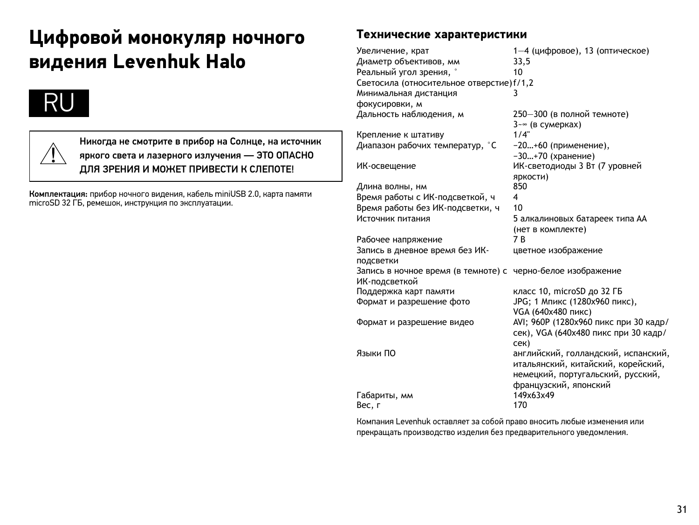# **Цифровой монокуляр ночного видения Levenhuk Halo**





Никогда не смотрите в прибор на Солнце, на источник яркого света и лазерного излучения — ЭТО ОПАСНО ДЛЯ ЗРЕНИЯ И МОЖЕТ ПРИВЕСТИ К СЛЕПОТЕ!

Комплектация: прибор ночного видения, кабель miniUSB 2.0, карта памяти microSD 32 ГБ, ремешок, инструкция по эксплуатации.

### **Технические характеристики**

| Увеличение, крат                          | 1-4 (цифровое), 13 (оптическое)       |
|-------------------------------------------|---------------------------------------|
| Диаметр объективов, мм                    | 33,5                                  |
| Реальный угол зрения, °                   | 10                                    |
| Светосила (относительное отверстие) f/1,2 |                                       |
| Минимальная дистанция                     | 3                                     |
| фокусировки, м                            |                                       |
| Дальность наблюдения, м                   | 250-300 (в полной темноте)            |
|                                           | 3-∞ (в сумерках)                      |
| Крепление к штативу                       | 1/4"                                  |
| Диапазон рабочих температур, °С           | -20+60 (применение),                  |
|                                           | -30+70 (хранение)                     |
| ИК-освещение                              | ИК-светодиоды 3 Вт (7 уровней         |
|                                           | яркости)                              |
| Длина волны, нм                           | 850                                   |
| Время работы с ИК-подсветкой, ч           | 4                                     |
| Время работы без ИК-подсветки, ч          | 10                                    |
| Источник питания                          | 5 алкалиновых батареек типа АА        |
|                                           | (нет в комплекте)                     |
| Рабочее напряжение                        | 7 R                                   |
| Запись в дневное время без ИК-            | цветное изображение                   |
| подсветки                                 |                                       |
| Запись в ночное время (в темноте) с       | черно-белое изображение               |
| ИК-подсветкой                             |                                       |
| Поддержка карт памяти                     | класс 10, microSD до 32 ГБ            |
| Формат и разрешение фото                  | JPG; 1 Мпикс (1280х960 пикс),         |
|                                           | VGA (640х480 пикс)                    |
| Формат и разрешение видео                 | AVI; 960Р (1280х960 пикс при 30 кадр/ |
|                                           | сек), VGA (640х480 пикс при 30 кадр/  |
|                                           | сек)                                  |
| Языки ПО                                  | английский, голландский, испанский,   |
|                                           | итальянский, китайский, корейский,    |
|                                           | немецкий, португальский, русский,     |
|                                           | французский, японский                 |
| Габариты, мм                              | 149x63x49                             |
| Вес, г                                    | 170                                   |

Компания Levenhuk оставляет за собой право вносить любые изменения или прекращать производство изделия без предварительного уведомления.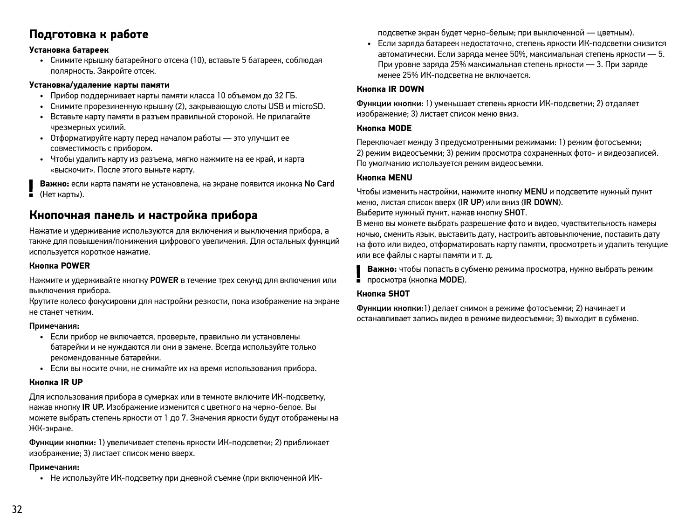### **Подготовка к работе**

#### **Установка батареек**

• Снимите крышку батарейного отсека (10), вставьте 5 батареек, соблюдая полярность. Закройте отсек.

#### **Установка/удаление карты памяти**

- Прибор поддерживает карты памяти класса 10 объемом до 32 ГБ.
- Снимите прорезиненную крышку (2), закрывающую слоты USB и microSD.
- Вставьте карту памяти в разъем правильной стороной. Не прилагайте чрезмерных усилий.
- Отформатируйте карту перед началом работы это улучшит ее совместимость с прибором.
- Чтобы удалить карту из разъема, мягко нажмите на ее край, и карта «выскочит». После этого выньте карту.

**Важно:** если карта памяти не установлена, на экране появится иконка No Card  $(H$ ет карты)

### **Кнопочная панель и настройка прибора**

Нажатие и удерживание используются для включения и выключения прибора, а также для повышения/понижения цифрового увеличения. Для остальных функций используется короткое нажатие.

#### **Кнопка POWER**

Нажмите и удерживайте кнопку POWER в течение трех секунд для включения или выключения прибора.

Крутите колесо фокусировки для настройки резкости, пока изображение на экране не станет четким.

#### Примечания:

- Если прибор не включается, проверьте, правильно ли установлены батарейки и не нуждаются ли они в замене. Всегда используйте только рекомендованные батарейки.
- Если вы носите очки, не снимайте их на время использования прибора.

#### **Кнопка IR UP**

Для использования прибора в сумерках или в темноте включите ИК-подсветку, нажав кнопку IR UP. Изображение изменится с цветного на черно-белое. Вы можете выбрать степень яркости от 1 до 7. Значения яркости будут отображены на ЖК-экране.

Функции кнопки: 1) увеличивает степень яркости ИК-подсветки; 2) приближает изображение; 3) листает список меню вверх.

#### Примечания:

• Не используйте ИК-подсветку при дневной съемке (при включенной ИК-

подсветке экран будет черно-белым; при выключенной — цветным).

• Если заряда батареек недостаточно, степень яркости ИК-подсветки снизится автоматически. Если заряда менее 50%, максимальная степень яркости — 5. При уровне заряда 25% максимальная степень яркости — 3. При заряде менее 25% ИК-подсветка не включается.

#### **Кнопка IR DOWN**

Функции кнопки: 1) уменьшает степень яркости ИК-подсветки; 2) отдаляет изображение; 3) листает список меню вниз.

#### **Кнопка MODE**

Переключает между 3 предусмотренными режимами: 1) режим фотосъемки; 2) режим видеосъемки; 3) режим просмотра сохраненных фото- и видеозаписей. По умолчанию используется режим видеосъемки.

#### **Кнопка MENU**

Чтобы изменить настройки, нажмите кнопку MENU и подсветите нужный пункт меню, листая список вверх (IR UP) или вниз (IR DOWN). Выберите нужный пункт, нажав кнопку SHOT.

В меню вы можете выбрать разрешение фото и видео, чувствительность камеры ночью, сменить язык, выставить дату, настроить автовыключение, поставить дату на фото или видео, отформатировать карту памяти, просмотреть и удалить текущие или все файлы с карты памяти и т. д.

**Важно:** чтобы попасть в субменю режима просмотра, нужно выбрать режим просмотра (кнопка MODE).

#### **Кнопка SHOT**

Функции кнопки:1) делает снимок в режиме фотосъемки; 2) начинает и останавливает запись видео в режиме видеосъемки; 3) выходит в субменю.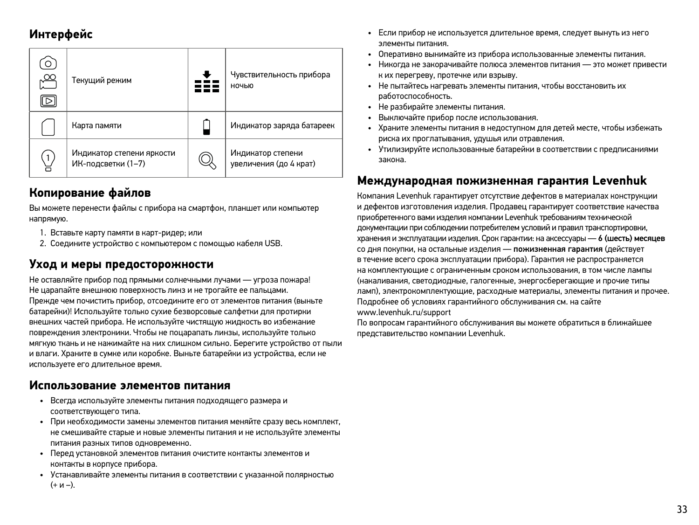### **Интерфейс**

| $\circ$<br>$\frac{\infty}{\infty}$<br>⊳ | Текущий режим                                   | Чувствительность прибора<br>ночью           |
|-----------------------------------------|-------------------------------------------------|---------------------------------------------|
|                                         | Карта памяти                                    | Индикатор заряда батареек                   |
| $\overline{1}$                          | Индикатор степени яркости<br>ИК-подсветки (1-7) | Индикатор степени<br>увеличения (до 4 крат) |

### **Копирование файлов**

Вы можете перенести файлы с прибора на смартфон, планшет или компьютер напрямую.

- 1. Вставьте карту памяти в карт-ридер; или
- 2. Соедините устройство с компьютером с помощью кабеля USB.

### **Уход и меры предосторожности**

Не оставляйте прибор под прямыми солнечными лучами — угроза пожара! Не царапайте внешнюю поверхность линз и не трогайте ее пальцами. Прежде чем почистить прибор, отсоедините его от элементов питания (выньте батарейки)! Используйте только сухие безворсовые салфетки для протирки внешних частей прибора. Не используйте чистящую жидкость во избежание повреждения электроники. Чтобы не поцарапать линзы, используйте только мягкую ткань и не нажимайте на них слишком сильно. Берегите устройство от пыли и влаги. Храните в сумке или коробке. Выньте батарейки из устройства, если не используете его длительное время.

### **Использование элементов питания**

- Всегда используйте элементы питания подходящего размера и соответствующего типа.
- При необходимости замены элементов питания меняйте сразу весь комплект, не смешивайте старые и новые элементы питания и не используйте элементы питания разных типов одновременно.
- Перед установкой элементов питания очистите контакты элементов и контакты в корпусе прибора.
- Устанавливайте элементы питания в соответствии с указанной полярностью  $(+ n -).$
- Если прибор не используется длительное время, следует вынуть из него элементы питания.
- Оперативно вынимайте из прибора использованные элементы питания.
- Никогда не закорачивайте полюса элементов питания это может привести к их перегреву, протечке или взрыву.
- Не пытайтесь нагревать элементы питания, чтобы восстановить их работоспособность.
- Не разбирайте элементы питания.
- Выключайте прибор после использования.
- Храните элементы питания в недоступном для детей месте, чтобы избежать риска их проглатывания, удушья или отравления.
- Утилизируйте использованные батарейки в соответствии с предписаниями закона.

### **Международная пожизненная гарантия Levenhuk**

Компания Levenhuk гарантирует отсутствие дефектов в материалах конструкции и дефектов изготовления изделия. Продавец гарантирует соответствие качества приобретенного вами изделия компании Levenhuk требованиям технической документации при соблюдении потребителем условий и правил транспортировки, хранения и эксплуатации изделия. Срок гарантии: на аксессуары — 6 (шесть) месяцев со дня покупки, на остальные изделия — пожизненная гарантия (действует в течение всего срока эксплуатации прибора). Гарантия не распространяется на комплектующие с ограниченным сроком использования, в том числе лампы (накаливания, светодиодные, галогенные, энергосберегающие и прочие типы ламп), электрокомплектующие, расходные материалы, элементы питания и прочее. Подробнее об условиях гарантийного обслуживания см. на сайте www.levenhuk.ru/support

По вопросам гарантийного обслуживания вы можете обратиться в ближайшее представительство компании Levenhuk.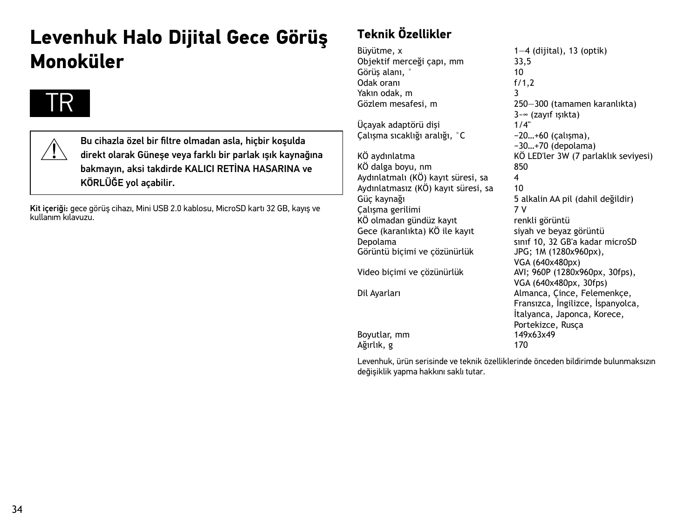# **Levenhuk Halo Dijital Gece Görüş Monoküler**

# TR

Bu cihazla özel bir filtre olmadan asla, hiçbir koşulda direkt olarak Güneşe veya farklı bir parlak ışık kaynağına bakmayın, aksi takdirde KALICI RETİNA HASARINA ve KÖRLÜĞE yol açabilir.

Kit içeriği: gece görüş cihazı, Mini USB 2.0 kablosu, MicroSD kartı 32 GB, kayış ve kullanım kılavuzu.

### **Teknik Özellikler**

Büyütme, x 1—4 (dijital), 13 (optik)<br>Obiektif merceği capı, mm 33.5 Objektif merceği çapı, mm 33,<br>Görüs alanı Görüş alanı, ° 10 Odak oranı f/1,2 Yakın odak, m<br>Gözlem mesafesi, m

Üçayak adaptörü dişi Çalışma sıcaklığı aralığı, °C −20…+60 (çalışma),

 $K\ddot{\text{O}}$  dalga boyu, nm  $85$ <br>Aydınlatmalı ( $K\ddot{\text{O}}$ ) kayıt süresi sa  $4$ Aydınlatmalı (KÖ) kayıt süresi, sa 4<br>Aydınlatmasız (KÖ) kayıt süresi, sa 10 Aydınlatmasız (KÖ) kayıt süresi, sa<br>Güc kaynağı Calisma gerilimi KÖ olmadan gündüz kayıt renkli görüntü<br>Gece (karanlıkta) KÖ ile kayıt siyah ve beyaz görüntü Gece (karanlıkta) KÖ ile kayıt<br>Depolama Görüntü bicimi ve çözünürlük Video biçimi ve çözünürlük Dil Ayarları **Almanca, Çince, Felemenkçe,** 

Boyutlar, mm 149x63x49 Ağırlık, g

Gözlem mesafesi, m 250—300 (tamamen karanlıkta)  $3-\infty$  (zayıf ışıkta)<br> $1/4$ " −30…+70 (depolama) KÖ aydınlatma KÖ LED'ler 3W (7 parlaklık seviyesi) 5 alkalin AA pil (dahil değildir)<br>7 V sınıf 10, 32 GB'a kadar microSD<br>JPG: 1M (1280x960px). VGA (640x480px)<br>AVI: 960P (1280x960px, 30fps), VGA (640x480px, 30fps) Fransızca, İngilizce, İspanyolca, İtalyanca, Japonca, Korece, Portekizce, Rusça<br>149x63x49

Levenhuk, ürün serisinde ve teknik özelliklerinde önceden bildirimde bulunmaksızın değişiklik yapma hakkını saklı tutar.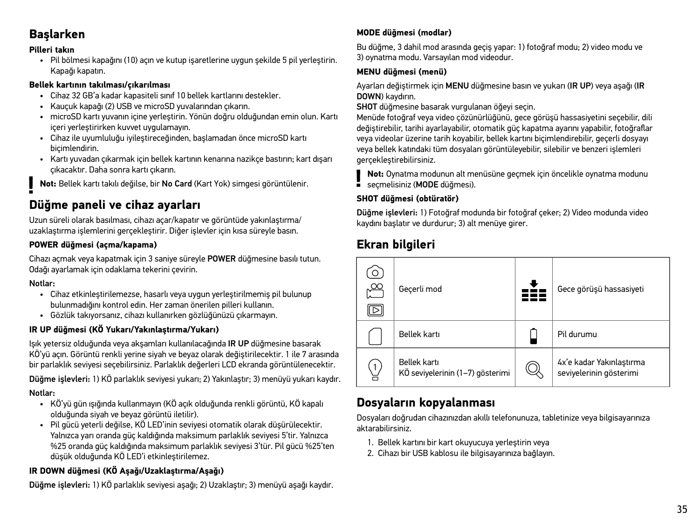### **Başlarken**

#### **Pilleri takın**

• Pil bölmesi kapağını (10) açın ve kutup işaretlerine uygun şekilde 5 pil yerleştirin. Kapağı kapatın.

#### **Bellek kartının takılması/çıkarılması**

- Cihaz 32 GB'a kadar kapasiteli sınıf 10 bellek kartlarını destekler.
- Kauçuk kapağı (2) USB ve microSD yuvalarından çıkarın.
- microSD kartı yuvanın içine yerleştirin. Yönün doğru olduğundan emin olun. Kartı içeri yerleştirirken kuvvet uygulamayın.
- Cihaz ile uyumluluğu iyileştireceğinden, başlamadan önce microSD kartı biçimlendirin.
- Kartı yuvadan çıkarmak için bellek kartının kenarına nazikçe bastırın; kart dışarı çıkacaktır. Daha sonra kartı çıkarın.

**Not:** Bellek kartı takılı değilse, bir No Card (Kart Yok) simgesi görüntülenir.

### **Düğme paneli ve cihaz ayarları**

Uzun süreli olarak basılması, cihazı açar/kapatır ve görüntüde yakınlaştırma/ uzaklaştırma işlemlerini gerçekleştirir. Diğer işlevler için kısa süreyle basın.

### **POWER düğmesi (açma/kapama)**

Cihazı açmak veya kapatmak için 3 saniye süreyle POWER düğmesine basılı tutun. Odağı ayarlamak için odaklama tekerini çevirin.

### Notlar:

- Cihaz etkinleştirilemezse, hasarlı veya uygun yerleştirilmemiş pil bulunup bulunmadığını kontrol edin. Her zaman önerilen pilleri kullanın.
- Gözlük takıyorsanız, cihazı kullanırken gözlüğünüzü çıkarmayın.

### **IR UP düğmesi (KÖ Yukarı/Yakınlaştırma/Yukarı)**

Işık yetersiz olduğunda veya akşamları kullanılacağında IR UP düğmesine basarak KÖ'yü açın. Görüntü renkli yerine siyah ve beyaz olarak değiştirilecektir. 1 ile 7 arasında bir parlaklık seviyesi seçebilirsiniz. Parlaklık değerleri LCD ekranda görüntülenecektir.

Düğme işlevleri: 1) KÖ parlaklık seviyesi yukarı; 2) Yakınlaştır; 3) menüyü yukarı kaydır.

### Notlar:

- KÖ'yü gün ışığında kullanmayın (KÖ açık olduğunda renkli görüntü, KÖ kapalı olduğunda siyah ve beyaz görüntü iletilir).
- Pil gücü yeterli değilse, KÖ LED'inin seviyesi otomatik olarak düşürülecektir. Yalnızca yarı oranda güç kaldığında maksimum parlaklık seviyesi 5'tir. Yalnızca %25 oranda güç kaldığında maksimum parlaklık seviyesi 3'tür. Pil gücü %25'ten düşük olduğunda KÖ LED'i etkinleştirilemez.

### **IR DOWN düğmesi (KÖ Aşağı/Uzaklaştırma/Aşağı)**

Düğme işlevleri: 1) KÖ parlaklık seviyesi aşağı; 2) Uzaklaştır; 3) menüyü aşağı kaydır.

### **MODE düğmesi (modlar)**

Bu düğme, 3 dahil mod arasında geçiş yapar: 1) fotoğraf modu; 2) video modu ve 3) oynatma modu. Varsayılan mod videodur.

#### **MENU düğmesi (menü)**

Ayarları değiştirmek için MENU düğmesine basın ve yukarı (IR UP) veya aşağı (IR DOWN) kaydırın.

SHOT düğmesine basarak vurgulanan öğeyi seçin.

Menüde fotoğraf veya video çözünürlüğünü, gece görüşü hassasiyetini seçebilir, dili değiştirebilir, tarihi ayarlayabilir, otomatik güç kapatma ayarını yapabilir, fotoğraflar veya videolar üzerine tarih koyabilir, bellek kartını biçimlendirebilir, geçerli dosyayı veya bellek katındaki tüm dosyaları görüntüleyebilir, silebilir ve benzeri işlemleri gerçekleştirebilirsiniz.

**Not:** Oynatma modunun alt menüsüne geçmek için öncelikle oynatma modunu secmelisiniz (MODE düğmesi)

### **SHOT düğmesi (obtüratör)**

Düğme işlevleri: 1) Fotoğraf modunda bir fotoğraf çeker; 2) Video modunda video kaydını başlatır ve durdurur; 3) alt menüye girer.

### **Ekran bilgileri**



### **Dosyaların kopyalanması**

Dosyaları doğrudan cihazınızdan akıllı telefonunuza, tabletinize veya bilgisayarınıza aktarabilirsiniz.

- 1. Bellek kartını bir kart okuyucuya yerleştirin veya
- 2. Cihazı bir USB kablosu ile bilgisayarınıza bağlayın.